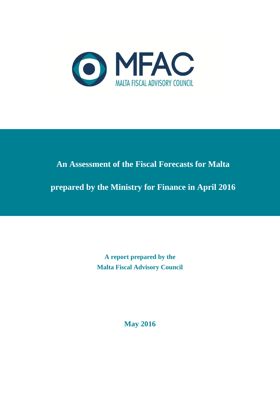

# **An Assessment of the Fiscal Forecasts for Malta**

**prepared by the Ministry for Finance in April 2016**

**A report prepared by the Malta Fiscal Advisory Council**

**May 2016**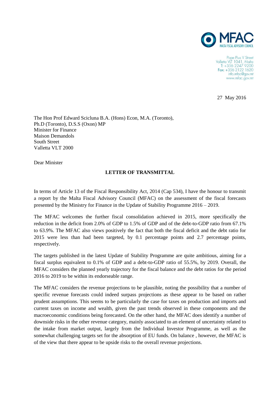

Pope Pius V Street Valletta VIT 1041, Malta<br>T: +356 2247 9200 Fax: +356 2122 1620 info.mfac@gov.mt www.mfac.gov.mt

27 May 2016

The Hon Prof Edward Scicluna B.A. (Hons) Econ, M.A. (Toronto), Ph.D (Toronto), D.S.S (Oxon) MP Minister for Finance Maison Demandols South Street Valletta VLT 2000

Dear Minister

#### **LETTER OF TRANSMITTAL**

In terms of Article 13 of the Fiscal Responsibility Act, 2014 (Cap 534), I have the honour to transmit a report by the Malta Fiscal Advisory Council (MFAC) on the assessment of the fiscal forecasts presented by the Ministry for Finance in the Update of Stability Programme 2016 – 2019.

The MFAC welcomes the further fiscal consolidation achieved in 2015, more specifically the reduction in the deficit from 2.0% of GDP to 1.5% of GDP and of the debt-to-GDP ratio from 67.1% to 63.9%. The MFAC also views positively the fact that both the fiscal deficit and the debt ratio for 2015 were less than had been targeted, by 0.1 percentage points and 2.7 percentage points, respectively.

The targets published in the latest Update of Stability Programme are quite ambitious, aiming for a fiscal surplus equivalent to 0.1% of GDP and a debt-to-GDP ratio of 55.5%, by 2019. Overall, the MFAC considers the planned yearly trajectory for the fiscal balance and the debt ratios for the period 2016 to 2019 to be within its endorseable range.

The MFAC considers the revenue projections to be plausible, noting the possibility that a number of specific revenue forecasts could indeed surpass projections as these appear to be based on rather prudent assumptions. This seems to be particularly the case for taxes on production and imports and current taxes on income and wealth, given the past trends observed in these components and the macroeconomic conditions being forecasted. On the other hand, the MFAC does identify a number of downside risks in the other revenue category, mainly associated to an element of uncertainty related to the intake from market output, largely from the Individual Investor Programme, as well as the somewhat challenging targets set for the absorption of EU funds. On balance , however, the MFAC is of the view that there appear to be upside risks to the overall revenue projections.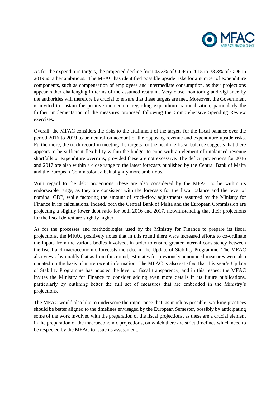

As for the expenditure targets, the projected decline from 43.3% of GDP in 2015 to 38.3% of GDP in 2019 is rather ambitious. The MFAC has identified possible upside risks for a number of expenditure components, such as compensation of employees and intermediate consumption, as their projections appear rather challenging in terms of the assumed restraint. Very close monitoring and vigilance by the authorities will therefore be crucial to ensure that these targets are met. Moreover, the Government is invited to sustain the positive momentum regarding expenditure rationalisation, particularly the further implementation of the measures proposed following the Comprehensive Spending Review exercises.

Overall, the MFAC considers the risks to the attainment of the targets for the fiscal balance over the period 2016 to 2019 to be neutral on account of the opposing revenue and expenditure upside risks. Furthermore, the track record in meeting the targets for the headline fiscal balance suggests that there appears to be sufficient flexibility within the budget to cope with an element of unplanned revenue shortfalls or expenditure overruns, provided these are not excessive. The deficit projections for 2016 and 2017 are also within a close range to the latest forecasts published by the Central Bank of Malta and the European Commission, albeit slightly more ambitious.

With regard to the debt projections, these are also considered by the MFAC to lie within its endorseable range, as they are consistent with the forecasts for the fiscal balance and the level of nominal GDP, while factoring the amount of stock-flow adjustments assumed by the Ministry for Finance in its calculations. Indeed, both the Central Bank of Malta and the European Commission are projecting a slightly lower debt ratio for both 2016 and 2017, notwithstanding that their projections for the fiscal deficit are slightly higher.

As for the processes and methodologies used by the Ministry for Finance to prepare its fiscal projections, the MFAC positively notes that in this round there were increased efforts to co-ordinate the inputs from the various bodies involved, in order to ensure greater internal consistency between the fiscal and macroeconomic forecasts included in the Update of Stability Programme. The MFAC also views favourably that as from this round, estimates for previously announced measures were also updated on the basis of more recent information. The MFAC is also satisfied that this year's Update of Stability Programme has boosted the level of fiscal transparency, and in this respect the MFAC invites the Ministry for Finance to consider adding even more details in its future publications, particularly by outlining better the full set of measures that are embedded in the Ministry's projections.

The MFAC would also like to underscore the importance that, as much as possible, working practices should be better aligned to the timelines envisaged by the European Semester, possibly by anticipating some of the work involved with the preparation of the fiscal projections, as these are a crucial element in the preparation of the macroeconomic projections, on which there are strict timelines which need to be respected by the MFAC to issue its assessment.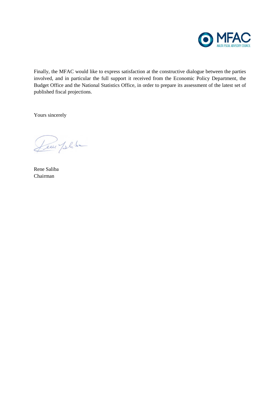

Finally, the MFAC would like to express satisfaction at the constructive dialogue between the parties involved, and in particular the full support it received from the Economic Policy Department, the Budget Office and the National Statistics Office, in order to prepare its assessment of the latest set of published fiscal projections.

Yours sincerely

Leur plike

Rene Saliba Chairman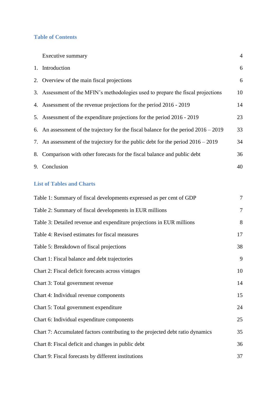## **Table of Contents**

|    | Executive summary                                                                      | $\overline{4}$ |
|----|----------------------------------------------------------------------------------------|----------------|
|    | 1. Introduction                                                                        | 6              |
|    | 2. Overview of the main fiscal projections                                             | 6              |
|    | 3. Assessment of the MFIN's methodologies used to prepare the fiscal projections       | 10             |
|    | 4. Assessment of the revenue projections for the period 2016 - 2019                    | 14             |
|    | 5. Assessment of the expenditure projections for the period 2016 - 2019                | 23             |
|    | 6. An assessment of the trajectory for the fiscal balance for the period $2016 - 2019$ | 33             |
|    | 7. An assessment of the trajectory for the public debt for the period $2016 - 2019$    | 34             |
|    | 8. Comparison with other forecasts for the fiscal balance and public debt              | 36             |
| 9. | Conclusion                                                                             | 40             |
|    |                                                                                        |                |

# **List of Tables and Charts**

| Table 1: Summary of fiscal developments expressed as per cent of GDP           | $\tau$         |
|--------------------------------------------------------------------------------|----------------|
| Table 2: Summary of fiscal developments in EUR millions                        | $\overline{7}$ |
| Table 3: Detailed revenue and expenditure projections in EUR millions          | 8              |
| Table 4: Revised estimates for fiscal measures                                 | 17             |
| Table 5: Breakdown of fiscal projections                                       | 38             |
| Chart 1: Fiscal balance and debt trajectories                                  | 9              |
| Chart 2: Fiscal deficit forecasts across vintages                              | 10             |
| Chart 3: Total government revenue                                              | 14             |
| Chart 4: Individual revenue components                                         | 15             |
| Chart 5: Total government expenditure                                          | 24             |
| Chart 6: Individual expenditure components                                     | 25             |
| Chart 7: Accumulated factors contributing to the projected debt ratio dynamics | 35             |
| Chart 8: Fiscal deficit and changes in public debt                             | 36             |
| Chart 9: Fiscal forecasts by different institutions                            | 37             |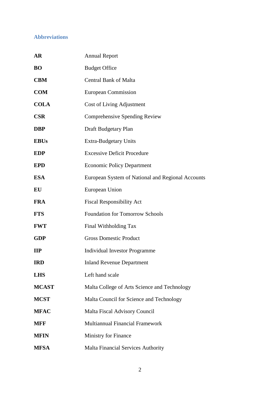# **Abbreviations**

| <b>AR</b>    | <b>Annual Report</b>                              |
|--------------|---------------------------------------------------|
| <b>BO</b>    | <b>Budget Office</b>                              |
| <b>CBM</b>   | <b>Central Bank of Malta</b>                      |
| <b>COM</b>   | <b>European Commission</b>                        |
| <b>COLA</b>  | Cost of Living Adjustment                         |
| <b>CSR</b>   | Comprehensive Spending Review                     |
| <b>DBP</b>   | Draft Budgetary Plan                              |
| <b>EBUs</b>  | <b>Extra-Budgetary Units</b>                      |
| <b>EDP</b>   | <b>Excessive Deficit Procedure</b>                |
| <b>EPD</b>   | <b>Economic Policy Department</b>                 |
| <b>ESA</b>   | European System of National and Regional Accounts |
| EU           | European Union                                    |
| <b>FRA</b>   | <b>Fiscal Responsibility Act</b>                  |
| <b>FTS</b>   | <b>Foundation for Tomorrow Schools</b>            |
| <b>FWT</b>   | Final Withholding Tax                             |
| <b>GDP</b>   | <b>Gross Domestic Product</b>                     |
| $\mathbf{H}$ | <b>Individual Investor Programme</b>              |
| <b>IRD</b>   | <b>Inland Revenue Department</b>                  |
| <b>LHS</b>   | Left hand scale                                   |
| <b>MCAST</b> | Malta College of Arts Science and Technology      |
| <b>MCST</b>  | Malta Council for Science and Technology          |
| <b>MFAC</b>  | <b>Malta Fiscal Advisory Council</b>              |
| <b>MFF</b>   | Multiannual Financial Framework                   |
| <b>MFIN</b>  | Ministry for Finance                              |
| <b>MFSA</b>  | <b>Malta Financial Services Authority</b>         |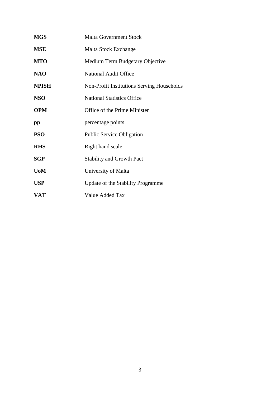| <b>MGS</b>   | <b>Malta Government Stock</b>              |
|--------------|--------------------------------------------|
| <b>MSE</b>   | Malta Stock Exchange                       |
| <b>MTO</b>   | Medium Term Budgetary Objective            |
| <b>NAO</b>   | <b>National Audit Office</b>               |
| <b>NPISH</b> | Non-Profit Institutions Serving Households |
| <b>NSO</b>   | <b>National Statistics Office</b>          |
| <b>OPM</b>   | Office of the Prime Minister               |
| $\mathbf{p}$ | percentage points                          |
| <b>PSO</b>   | <b>Public Service Obligation</b>           |
| <b>RHS</b>   | Right hand scale                           |
| <b>SGP</b>   | <b>Stability and Growth Pact</b>           |
| <b>UoM</b>   | University of Malta                        |
| <b>USP</b>   | Update of the Stability Programme          |
|              |                                            |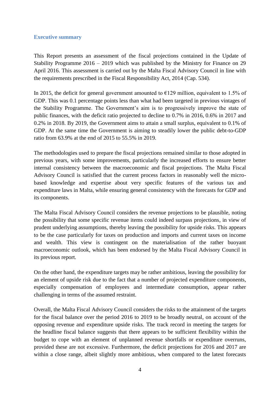#### **Executive summary**

This Report presents an assessment of the fiscal projections contained in the Update of Stability Programme 2016 – 2019 which was published by the Ministry for Finance on 29 April 2016. This assessment is carried out by the Malta Fiscal Advisory Council in line with the requirements prescribed in the Fiscal Responsibility Act, 2014 (Cap. 534).

In 2015, the deficit for general government amounted to  $\epsilon$ 129 million, equivalent to 1.5% of GDP. This was 0.1 percentage points less than what had been targeted in previous vintages of the Stability Programme. The Government's aim is to progressively improve the state of public finances, with the deficit ratio projected to decline to 0.7% in 2016, 0.6% in 2017 and 0.2% in 2018. By 2019, the Government aims to attain a small surplus, equivalent to 0.1% of GDP. At the same time the Government is aiming to steadily lower the public debt-to-GDP ratio from 63.9% at the end of 2015 to 55.5% in 2019.

The methodologies used to prepare the fiscal projections remained similar to those adopted in previous years, with some improvements, particularly the increased efforts to ensure better internal consistency between the macroeconomic and fiscal projections. The Malta Fiscal Advisory Council is satisfied that the current process factors in reasonably well the microbased knowledge and expertise about very specific features of the various tax and expenditure laws in Malta, while ensuring general consistency with the forecasts for GDP and its components.

The Malta Fiscal Advisory Council considers the revenue projections to be plausible, noting the possibility that some specific revenue items could indeed surpass projections, in view of prudent underlying assumptions, thereby leaving the possibility for upside risks. This appears to be the case particularly for taxes on production and imports and current taxes on income and wealth. This view is contingent on the materialisation of the rather buoyant macroeconomic outlook, which has been endorsed by the Malta Fiscal Advisory Council in its previous report.

On the other hand, the expenditure targets may be rather ambitious, leaving the possibility for an element of upside risk due to the fact that a number of projected expenditure components, especially compensation of employees and intermediate consumption, appear rather challenging in terms of the assumed restraint.

Overall, the Malta Fiscal Advisory Council considers the risks to the attainment of the targets for the fiscal balance over the period 2016 to 2019 to be broadly neutral, on account of the opposing revenue and expenditure upside risks. The track record in meeting the targets for the headline fiscal balance suggests that there appears to be sufficient flexibility within the budget to cope with an element of unplanned revenue shortfalls or expenditure overruns, provided these are not excessive. Furthermore, the deficit projections for 2016 and 2017 are within a close range, albeit slightly more ambitious, when compared to the latest forecasts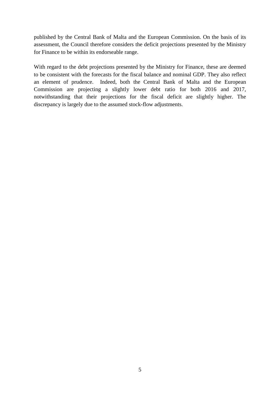published by the Central Bank of Malta and the European Commission. On the basis of its assessment, the Council therefore considers the deficit projections presented by the Ministry for Finance to be within its endorseable range.

With regard to the debt projections presented by the Ministry for Finance, these are deemed to be consistent with the forecasts for the fiscal balance and nominal GDP. They also reflect an element of prudence. Indeed, both the Central Bank of Malta and the European Commission are projecting a slightly lower debt ratio for both 2016 and 2017, notwithstanding that their projections for the fiscal deficit are slightly higher. The discrepancy is largely due to the assumed stock-flow adjustments.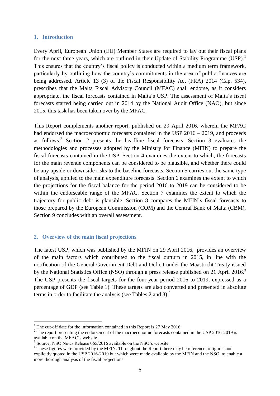#### **1. Introduction**

Every April, European Union (EU) Member States are required to lay out their fiscal plans for the next three years, which are outlined in their Update of Stability Programme (USP).<sup>1</sup> This ensures that the country's fiscal policy is conducted within a medium term framework, particularly by outlining how the country's commitments in the area of public finances are being addressed. Article 13 (3) of the Fiscal Responsibility Act (FRA) 2014 (Cap. 534), prescribes that the Malta Fiscal Advisory Council (MFAC) shall endorse, as it considers appropriate, the fiscal forecasts contained in Malta's USP. The assessment of Malta's fiscal forecasts started being carried out in 2014 by the National Audit Office (NAO), but since 2015, this task has been taken over by the MFAC.

This Report complements another report, published on 29 April 2016, wherein the MFAC had endorsed the macroeconomic forecasts contained in the USP 2016 – 2019, and proceeds as follows.<sup>2</sup> Section 2 presents the headline fiscal forecasts. Section 3 evaluates the methodologies and processes adopted by the Ministry for Finance (MFIN) to prepare the fiscal forecasts contained in the USP. Section 4 examines the extent to which, the forecasts for the main revenue components can be considered to be plausible, and whether there could be any upside or downside risks to the baseline forecasts. Section 5 carries out the same type of analysis, applied to the main expenditure forecasts. Section 6 examines the extent to which the projections for the fiscal balance for the period 2016 to 2019 can be considered to be within the endorseable range of the MFAC. Section 7 examines the extent to which the trajectory for public debt is plausible. Section 8 compares the MFIN's fiscal forecasts to those prepared by the European Commission (COM) and the Central Bank of Malta (CBM). Section 9 concludes with an overall assessment.

#### **2. Overview of the main fiscal projections**

1

The latest USP, which was published by the MFIN on 29 April 2016, provides an overview of the main factors which contributed to the fiscal outturn in 2015, in line with the notification of the General Government Debt and Deficit under the Maastricht Treaty issued by the National Statistics Office (NSO) through a press release published on 21 April 2016. $3$ The USP presents the fiscal targets for the four-year period 2016 to 2019, expressed as a percentage of GDP (see Table 1). These targets are also converted and presented in absolute terms in order to facilitate the analysis (see Tables 2 and 3).<sup>4</sup>

 $1$ <sup>1</sup> The cut-off date for the information contained in this Report is 27 May 2016.

 $2$  The report presenting the endorsement of the macroeconomic forecasts contained in the USP 2016-2019 is available on the MFAC's website.

<sup>&</sup>lt;sup>3</sup> Source: NSO News Release 065/2016 available on the NSO's website.

<sup>4</sup> These figures were provided by the MFIN. Throughout the Report there may be reference to figures not explicitly quoted in the USP 2016-2019 but which were made available by the MFIN and the NSO, to enable a more thorough analysis of the fiscal projections.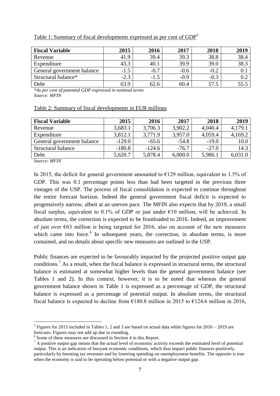| Table 1: Summary of fiscal developments expressed as per cent of $GDP5$ |
|-------------------------------------------------------------------------|
|-------------------------------------------------------------------------|

| <b>Fiscal Variable</b>     | 2015   | 2016   | 2017   | 2018   | 2019 |
|----------------------------|--------|--------|--------|--------|------|
| Revenue                    | 41.9   | 39.4   | 39.3   | 38.8   | 38.4 |
| Expenditure                | 43.3   | 40.1   | 39.9   | 39.0   | 38.3 |
| General government balance | $-1.5$ | $-0.7$ | $-0.6$ | $-0.2$ |      |
| Structural balance*        | $-2.3$ | $-1.5$ | $-0.9$ | $-0.3$ |      |
| Debt                       | 63.9   | 62.6   | 60.4   | 57.5   |      |

*\*As per cent of potential GDP expressed in nominal terms Source: MFIN*

#### Table 2: Summary of fiscal developments in EUR millions

| <b>Fiscal Variable</b>     | 2015     | 2016     | 2017    | 2018    | 2019    |
|----------------------------|----------|----------|---------|---------|---------|
| Revenue                    | 3,683.1  | 3,706.3  | 3,902.2 | 4,040.4 | 4,179.1 |
| Expenditure                | 3,812.1  | 3,771.9  | 3,957.0 | 4,059.4 | 4,169.2 |
| General government balance | $-129.0$ | $-65.6$  | $-54.8$ | $-19.0$ | 10.0    |
| Structural balance         | $-180.8$ | $-124.6$ | $-76.7$ | $-27.0$ | 14.3    |
| Debt                       | 5,620.7  | 5,878.4  | 6,000.0 | 5,986.1 | 6,031.0 |

*Source: MFIN*

1

In 2015, the deficit for general government amounted to  $\epsilon$ 129 million, equivalent to 1.5% of GDP. This was 0.1 percentage points less than had been targeted in the previous three vintages of the USP. The process of fiscal consolidation is expected to continue throughout the entire forecast horizon. Indeed the general government fiscal deficit is expected to progressively narrow, albeit at an uneven pace. The MFIN also expects that by 2019, a small fiscal surplus, equivalent to 0.1% of GDP or just under  $\epsilon$ 10 million, will be achieved. In absolute terms, the correction is expected to be frontloaded to 2016. Indeed, an improvement of just over €63 million is being targeted for 2016, also on account of the new measures which came into force.<sup>6</sup> In subsequent years, the correction, in absolute terms, is more contained, and no details about specific new measures are outlined in the USP.

Public finances are expected to be favourably impacted by the projected positive output gap conditions.<sup>7</sup> As a result, when the fiscal balance is expressed in structural terms, the structural balance is estimated at somewhat higher levels than the general government balance (see Tables 1 and 2). In this context, however, it is to be noted that whereas the general government balance shown in Table 1 is expressed as a percentage of GDP, the structural balance is expressed as a percentage of potential output. In absolute terms, the structural fiscal balance is expected to decline from  $\epsilon$ 180.8 million in 2015 to  $\epsilon$ 124.6 million in 2016,

<sup>&</sup>lt;sup>5</sup> Figures for 2015 included in Tables 1, 2 and 3 are based on actual data while figures for 2016 – 2019 are forecasts. Figures may not add up due to rounding.

<sup>&</sup>lt;sup>6</sup> Some of these measures are discussed in Section 4 in this Report.

<sup>&</sup>lt;sup>7</sup> A positive output gap means that the actual level of economic activity exceeds the estimated level of potential output. This is an indication of buoyant economic conditions, which thus impact public finances positively, particularly by boosting tax revenues and by lowering spending on unemployment benefits. The opposite is true when the economy is said to be operating below potential or with a negative output gap.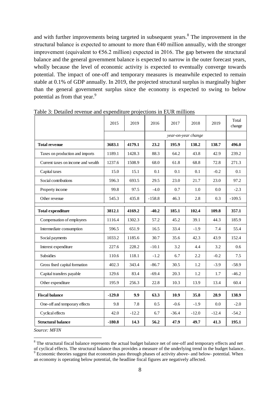and with further improvements being targeted in subsequent years. 8 The improvement in the structural balance is expected to amount to more than  $\epsilon$ 40 million annually, with the stronger improvement (equivalent to  $\epsilon$ 56.2 million) expected in 2016. The gap between the structural balance and the general government balance is expected to narrow in the outer forecast years, wholly because the level of economic activity is expected to eventually converge towards potential. The impact of one-off and temporary measures is meanwhile expected to remain stable at 0.1% of GDP annually. In 2019, the projected structural surplus is marginally higher than the general government surplus since the economy is expected to swing to below potential as from that year.<sup>9</sup>

|                                    | 2015     | 2019    | 2016     | 2017                | 2018    | 2019    | Total<br>change |
|------------------------------------|----------|---------|----------|---------------------|---------|---------|-----------------|
|                                    |          |         |          | year-on-year change |         |         |                 |
| <b>Total revenue</b>               | 3683.1   | 4179.1  | 23.2     | 195.9               | 138.2   | 138.7   | 496.0           |
| Taxes on production and imports    | 1189.1   | 1428.3  | 88.3     | 64.2                | 43.8    | 42.9    | 239.2           |
| Current taxes on income and wealth | 1237.6   | 1508.9  | 68.0     | 61.8                | 68.8    | 72.8    | 271.3           |
| Capital taxes                      | 15.0     | 15.1    | 0.1      | 0.1                 | 0.1     | $-0.2$  | 0.1             |
| Social contributions               | 596.3    | 693.5   | 29.5     | 23.0                | 21.7    | 23.0    | 97.2            |
| Property income                    | 99.8     | 97.5    | $-4.0$   | 0.7                 | $1.0\,$ | 0.0     | $-2.3$          |
| Other revenue                      | 545.3    | 435.8   | $-158.8$ | 46.3                | 2.8     | 0.3     | $-109.5$        |
| <b>Total expenditure</b>           | 3812.1   | 4169.2  | $-40.2$  | 185.1               | 102.4   | 109.8   | 357.1           |
| Compensation of employees          | 1116.4   | 1302.3  | 57.2     | 45.2                | 39.1    | 44.3    | 185.9           |
| Intermediate consumption           | 596.5    | 651.9   | 16.5     | 33.4                | $-1.9$  | 7.4     | 55.4            |
| Social payments                    | 1033.2   | 1185.6  | 30.7     | 35.6                | 42.3    | 43.9    | 152.4           |
| Interest expenditure               | 227.6    | 228.2   | $-10.1$  | 3.2                 | 4.4     | 3.2     | 0.6             |
| Subsidies                          | 110.6    | 118.1   | $-1.2$   | 6.7                 | 2.2     | $-0.2$  | 7.5             |
| Gross fixed capital formation      | 402.3    | 343.4   | $-86.7$  | 30.5                | 1.2     | $-3.9$  | $-58.9$         |
| Capital transfers payable          | 129.6    | 83.4    | $-69.4$  | 20.3                | 1.2     | 1.7     | $-46.2$         |
| Other expenditure                  | 195.9    | 256.3   | 22.8     | 10.3                | 13.9    | 13.4    | 60.4            |
| <b>Fiscal balance</b>              | $-129.0$ | 9.9     | 63.3     | 10.9                | 35.8    | 28.9    | 138.9           |
| One-off and temporary effects      | 9.8      | 7.8     | 0.5      | $-0.6$              | $-1.9$  | $0.0\,$ | $-2.0$          |
| Cyclical effects                   | 42.0     | $-12.2$ | 6.7      | $-36.4$             | $-12.0$ | $-12.4$ | $-54.2$         |
| <b>Structural balance</b>          | $-180.8$ | 14.3    | 56.2     | 47.9                | 49.7    | 41.3    | 195.1           |

Table 3: Detailed revenue and expenditure projections in EUR millions

*Source: MFIN*

<sup>&</sup>lt;sup>8</sup> The structural fiscal balance represents the actual budget balance net of one-off and temporary effects and net of cyclical effects. The structural balance thus provides a measure of the underlying trend in the budget balance.. <sup>9</sup> Economic theories suggest that economies pass through phases of activity above- and below- potential. When an economy is operating below potential, the headline fiscal figures are negatively affected.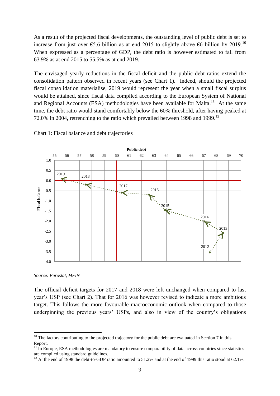As a result of the projected fiscal developments, the outstanding level of public debt is set to increase from just over  $65.6$  billion as at end 2015 to slightly above  $66$  billion by 2019.<sup>10</sup> When expressed as a percentage of GDP, the debt ratio is however estimated to fall from 63.9% as at end 2015 to 55.5% as at end 2019.

The envisaged yearly reductions in the fiscal deficit and the public debt ratios extend the consolidation pattern observed in recent years (see Chart 1). Indeed, should the projected fiscal consolidation materialise, 2019 would represent the year when a small fiscal surplus would be attained, since fiscal data compiled according to the European System of National and Regional Accounts (ESA) methodologies have been available for Malta. $^{11}$  At the same time, the debt ratio would stand comfortably below the 60% threshold, after having peaked at 72.0% in 2004, retrenching to the ratio which prevailed between 1998 and 1999.<sup>12</sup>



#### Chart 1: Fiscal balance and debt trajectories

*Source: Eurostat, MFIN*

<u>.</u>

The official deficit targets for 2017 and 2018 were left unchanged when compared to last year's USP (see Chart 2). That for 2016 was however revised to indicate a more ambitious target. This follows the more favourable macroeconomic outlook when compared to those underpinning the previous years' USPs, and also in view of the country's obligations

 $10$  The factors contributing to the projected trajectory for the public debt are evaluated in Section 7 in this Report.

 $11$  In Europe. ESA methodologies are mandatory to ensure comparability of data across countries since statistics are compiled using standard guidelines.

<sup>&</sup>lt;sup>12</sup> At the end of 1998 the debt-to-GDP ratio amounted to 51.2% and at the end of 1999 this ratio stood at 62.1%.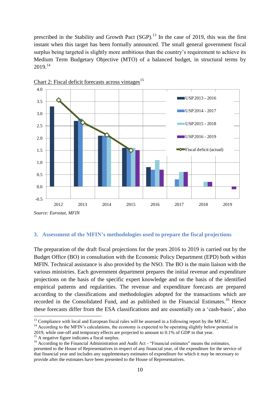prescribed in the Stability and Growth Pact  $(SGP)$ .<sup>13</sup> In the case of 2019, this was the first instant when this target has been formally announced. The small general government fiscal surplus being targeted is slightly more ambitious than the country's requirement to achieve its Medium Term Budgetary Objective (MTO) of a balanced budget, in structural terms by  $2019.<sup>14</sup>$ 



Chart 2: Fiscal deficit forecasts across vintages<sup>15</sup>

#### **3. Assessment of the MFIN's methodologies used to prepare the fiscal projections**

The preparation of the draft fiscal projections for the years 2016 to 2019 is carried out by the Budget Office (BO) in consultation with the Economic Policy Department (EPD) both within MFIN. Technical assistance is also provided by the NSO. The BO is the main liaison with the various ministries. Each government department prepares the initial revenue and expenditure projections on the basis of the specific expert knowledge and on the basis of the identified empirical patterns and regularities. The revenue and expenditure forecasts are prepared according to the classifications and methodologies adopted for the transactions which are recorded in the Consolidated Fund, and as published in the Financial Estimates.<sup>16</sup> Hence these forecasts differ from the ESA classifications and are essentially on a 'cash-basis', also

<sup>&</sup>lt;sup>13</sup> Compliance with local and European fiscal rules will be assessed in a following report by the MFAC.

<sup>&</sup>lt;sup>14</sup> According to the MFIN's calculations, the economy is expected to be operating slightly below potential in

<sup>2019,</sup> while one-off and temporary effects are projected to amount to 0.1% of GDP in that year.

<sup>&</sup>lt;sup>15</sup> A negative figure indicates a fiscal surplus.

<sup>&</sup>lt;sup>16</sup> According to the Financial Administration and Audit Act - "Financial estimates" means the estimates, presented to the House of Representatives in respect of any financial year, of the expenditure for the service of that financial year and includes any supplementary estimates of expenditure for which it may be necessary to provide after the estimates have been presented to the House of Representatives.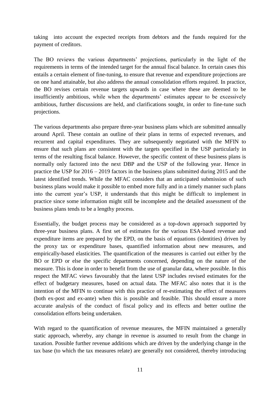taking into account the expected receipts from debtors and the funds required for the payment of creditors.

The BO reviews the various departments' projections, particularly in the light of the requirements in terms of the intended target for the annual fiscal balance. In certain cases this entails a certain element of fine-tuning, to ensure that revenue and expenditure projections are on one hand attainable, but also address the annual consolidation efforts required. In practice, the BO revises certain revenue targets upwards in case where these are deemed to be insufficiently ambitious, while when the departments' estimates appear to be excessively ambitious, further discussions are held, and clarifications sought, in order to fine-tune such projections.

The various departments also prepare three-year business plans which are submitted annually around April. These contain an outline of their plans in terms of expected revenues, and recurrent and capital expenditures. They are subsequently negotiated with the MFIN to ensure that such plans are consistent with the targets specified in the USP particularly in terms of the resulting fiscal balance. However, the specific content of these business plans is normally only factored into the next DBP and the USP of the following year. Hence in practice the USP for 2016 – 2019 factors in the business plans submitted during 2015 and the latest identified trends. While the MFAC considers that an anticipated submission of such business plans would make it possible to embed more fully and in a timely manner such plans into the current year's USP, it understands that this might be difficult to implement in practice since some information might still be incomplete and the detailed assessment of the business plans tends to be a lengthy process.

Essentially, the budget process may be considered as a top-down approach supported by three-year business plans. A first set of estimates for the various ESA-based revenue and expenditure items are prepared by the EPD, on the basis of equations (identities) driven by the proxy tax or expenditure bases, quantified information about new measures, and empirically-based elasticities. The quantification of the measures is carried out either by the BO or EPD or else the specific departments concerned, depending on the nature of the measure. This is done in order to benefit from the use of granular data, where possible. In this respect the MFAC views favourably that the latest USP includes revised estimates for the effect of budgetary measures, based on actual data. The MFAC also notes that it is the intention of the MFIN to continue with this practice of re-estimating the effect of measures (both ex-post and ex-ante) when this is possible and feasible. This should ensure a more accurate analysis of the conduct of fiscal policy and its effects and better outline the consolidation efforts being undertaken.

With regard to the quantification of revenue measures, the MFIN maintained a generally static approach, whereby, any change in revenue is assumed to result from the change in taxation. Possible further revenue additions which are driven by the underlying change in the tax base (to which the tax measures relate) are generally not considered, thereby introducing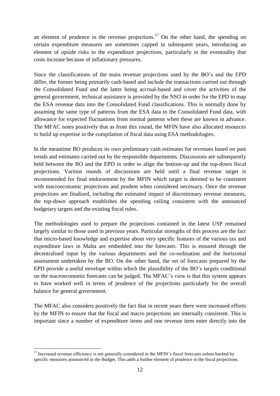an element of prudence in the revenue projections.<sup>17</sup> On the other hand, the spending on certain expenditure measures are sometimes capped in subsequent years, introducing an element of upside risks to the expenditure projections, particularly in the eventuality that costs increase because of inflationary pressures.

Since the classifications of the main revenue projections used by the BO's and the EPD differ, the former being primarily cash-based and include the transactions carried out through the Consolidated Fund and the latter being accrual-based and cover the activities of the general government, technical assistance is provided by the NSO in order for the EPD to map the ESA revenue data into the Consolidated Fund classifications. This is normally done by assuming the same type of patterns from the ESA data to the Consolidated Fund data, with allowance for expected fluctuations from normal patterns when these are known in advance. The MFAC notes positively that as from this round, the MFIN have also allocated resources to build up expertise in the compilation of fiscal data using ESA methodologies.

In the meantime BO produces its own preliminary cash estimates for revenues based on past trends and estimates carried out by the responsible departments. Discussions are subsequently held between the BO and the EPD in order to align the bottom-up and the top-down fiscal projections. Various rounds of discussions are held until a final revenue target is recommended for final endorsement by the MFIN which target is deemed to be consistent with macroeconomic projections and prudent when considered necessary. Once the revenue projections are finalised, including the estimated impact of discretionary revenue measures, the top-down approach establishes the spending ceiling consistent with the announced budgetary targets and the existing fiscal rules.

The methodologies used to prepare the projections contained in the latest USP remained largely similar to those used in previous years. Particular strengths of this process are the fact that micro-based knowledge and expertise about very specific features of the various tax and expenditure laws in Malta are embedded into the forecasts. This is ensured through the decentralised input by the various departments and the co-ordination and the horizontal assessment undertaken by the BO. On the other hand, the set of forecasts prepared by the EPD provide a useful envelope within which the plausibility of the BO's targets conditional on the macroeconomic forecasts can be judged. The MFAC's view is that this system appears to have worked well in terms of prudence of the projections particularly for the overall balance for general government.

The MFAC also considers positively the fact that in recent years there were increased efforts by the MFIN to ensure that the fiscal and macro projections are internally consistent. This is important since a number of expenditure items and one revenue item enter directly into the

<sup>1</sup>  $17$  Increased revenue efficiency is not generally considered in the MFIN's fiscal forecasts unless backed by specific measures announced in the Budget. This adds a further element of prudence in the fiscal projections.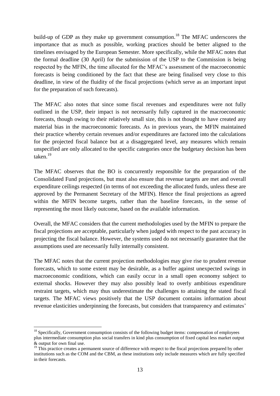build-up of GDP as they make up government consumption.<sup>18</sup> The MFAC underscores the importance that as much as possible, working practices should be better aligned to the timelines envisaged by the European Semester. More specifically, while the MFAC notes that the formal deadline (30 April) for the submission of the USP to the Commission is being respected by the MFIN, the time allocated for the MFAC's assessment of the macroeconomic forecasts is being conditioned by the fact that these are being finalised very close to this deadline, in view of the fluidity of the fiscal projections (which serve as an important input for the preparation of such forecasts).

The MFAC also notes that since some fiscal revenues and expenditures were not fully outlined in the USP, their impact is not necessarily fully captured in the macroeconomic forecasts, though owing to their relatively small size, this is not thought to have created any material bias in the macroeconomic forecasts. As in previous years, the MFIN maintained their practice whereby certain revenues and/or expenditures are factored into the calculations for the projected fiscal balance but at a disaggregated level, any measures which remain unspecified are only allocated to the specific categories once the budgetary decision has been taken $19$ 

The MFAC observes that the BO is concurrently responsible for the preparation of the Consolidated Fund projections, but must also ensure that revenue targets are met and overall expenditure ceilings respected (in terms of not exceeding the allocated funds, unless these are approved by the Permanent Secretary of the MFIN). Hence the final projections as agreed within the MFIN become targets, rather than the baseline forecasts, in the sense of representing the most likely outcome, based on the available information.

Overall, the MFAC considers that the current methodologies used by the MFIN to prepare the fiscal projections are acceptable, particularly when judged with respect to the past accuracy in projecting the fiscal balance. However, the systems used do not necessarily guarantee that the assumptions used are necessarily fully internally consistent.

The MFAC notes that the current projection methodologies may give rise to prudent revenue forecasts, which to some extent may be desirable, as a buffer against unexpected swings in macroeconomic conditions, which can easily occur in a small open economy subject to external shocks. However they may also possibly lead to overly ambitious expenditure restraint targets, which may thus underestimate the challenges to attaining the stated fiscal targets. The MFAC views positively that the USP document contains information about revenue elasticities underpinning the forecasts, but considers that transparency and estimates'

<sup>&</sup>lt;sup>18</sup> Specifically, Government consumption consists of the following budget items: compensation of employees plus intermediate consumption plus social transfers in kind plus consumption of fixed capital less market output & output for own final use.

<sup>&</sup>lt;sup>19</sup> This practice creates a permanent source of difference with respect to the fiscal projections prepared by other institutions such as the COM and the CBM, as these institutions only include measures which are fully specified in their forecasts.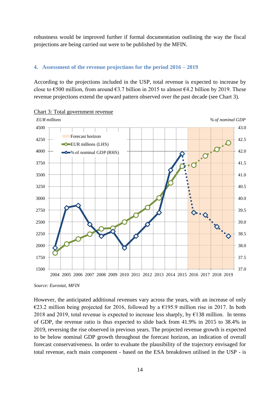robustness would be improved further if formal documentation outlining the way the fiscal projections are being carried out were to be published by the MFIN.

## **4. Assessment of the revenue projections for the period 2016 – 2019**

According to the projections included in the USP, total revenue is expected to increase by close to  $\epsilon$ 500 million, from around  $\epsilon$ 3.7 billion in 2015 to almost  $\epsilon$ 4.2 billion by 2019. These revenue projections extend the upward pattern observed over the past decade (see Chart 3).





However, the anticipated additional revenues vary across the years, with an increase of only €23.2 million being projected for 2016, followed by a €195.9 million rise in 2017. In both 2018 and 2019, total revenue is expected to increase less sharply, by  $\epsilon$ 138 million. In terms of GDP, the revenue ratio is thus expected to slide back from 41.9% in 2015 to 38.4% in 2019, reversing the rise observed in previous years. The projected revenue growth is expected to be below nominal GDP growth throughout the forecast horizon, an indication of overall forecast conservativeness. In order to evaluate the plausibility of the trajectory envisaged for total revenue, each main component - based on the ESA breakdown utilised in the USP - is

*Source: Eurostat, MFIN*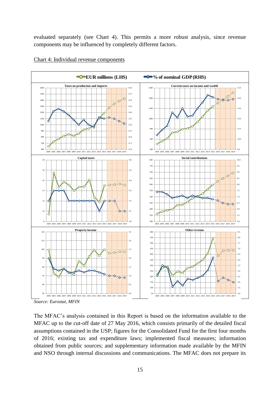evaluated separately (see Chart 4). This permits a more robust analysis, since revenue components may be influenced by completely different factors.



#### Chart 4: Individual revenue components

*Source: Eurostat, MFIN*

The MFAC's analysis contained in this Report is based on the information available to the MFAC up to the cut-off date of 27 May 2016, which consists primarily of the detailed fiscal assumptions contained in the USP; figures for the Consolidated Fund for the first four months of 2016; existing tax and expenditure laws; implemented fiscal measures; information obtained from public sources; and supplementary information made available by the MFIN and NSO through internal discussions and communications. The MFAC does not prepare its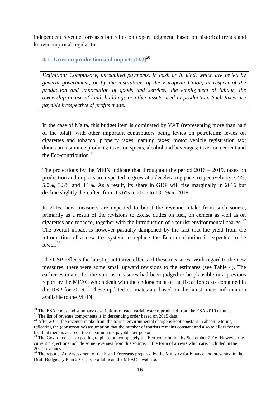independent revenue forecasts but relies on expert judgment, based on historical trends and known empirical regularities.

## **4.1. Taxes on production and imports (D.2)**<sup>20</sup>

*Definition: Compulsory, unrequited payments, in cash or in kind, which are levied by general government, or by the institutions of the European Union, in respect of the production and importation of goods and services, the employment of labour, the ownership or use of land, buildings or other assets used in production. Such taxes are payable irrespective of profits made.*

In the case of Malta, this budget item is dominated by VAT (representing more than half of the total), with other important contributors being levies on petroleum; levies on cigarettes and tobacco; property taxes; gaming taxes; motor vehicle registration tax; duties on insurance products; taxes on spirits, alcohol and beverages; taxes on cement and the Eco-contribution. $21$ 

The projections by the MFIN indicate that throughout the period  $2016 - 2019$ , taxes on production and imports are expected to grow at a decelerating pace, respectively by 7.4%, 5.0%, 3.3% and 3.1%. As a result, its share in GDP will rise marginally in 2016 but decline slightly thereafter, from 13.6% in 2016 to 13.1% in 2019.

In 2016, new measures are expected to boost the revenue intake from such source, primarily as a result of the revisions to excise duties on fuel, on cement as well as on cigarettes and tobacco, together with the introduction of a tourist environmental charge.<sup>22</sup> The overall impact is however partially dampened by the fact that the yield from the introduction of a new tax system to replace the Eco-contribution is expected to be lower. $23$ 

The USP reflects the latest quantitative effects of these measures. With regard to the new measures, there were some small upward revisions to the estimates (see Table 4). The earlier estimates for the various measures had been judged to be plausible in a previous report by the MFAC which dealt with the endorsement of the fiscal forecasts contained in the DBP for  $2016<sup>24</sup>$  These updated estimates are based on the latest micro information available to the MFIN.

 $20$  The ESA codes and summary descriptions of each variable are reproduced from the ESA 2010 manual.

 $21$  The list of revenue components is in descending order based on 2015 data.

 $^{22}$  After 2017, the revenue intake from the tourist environmental charge is kept constant in absolute terms, reflecting the (conservative) assumption that the number of tourists remains constant and also to allow for the fact that there is a cap on the maximum tax payable per person.

<sup>&</sup>lt;sup>23</sup> The Government is expecting to phase out completely the Eco-contribution by September 2016. However the current projections include some revenues from this source, in the form of arrears which are, included in the 2017 revenues.

<sup>&</sup>lt;sup>24</sup> The report, 'An Assessment of the Fiscal Forecasts prepared by the Ministry for Finance and presented in the Draft Budgetary Plan 2016', is available on the MFAC's website.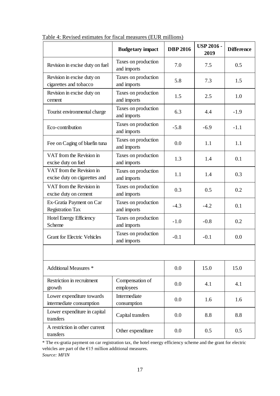|                                                                                           | <b>Budgetary</b> impact            | <b>DBP 2016</b> | <b>USP 2016 -</b><br>2019 | <b>Difference</b> |
|-------------------------------------------------------------------------------------------|------------------------------------|-----------------|---------------------------|-------------------|
| Revision in excise duty on fuel                                                           | Taxes on production<br>and imports |                 | 7.5                       | 0.5               |
| Revision in excise duty on<br>cigarettes and tobacco                                      | Taxes on production<br>and imports | 5.8             | 7.3                       | 1.5               |
| Revision in excise duty on<br>cement                                                      | Taxes on production<br>and imports |                 | 2.5                       | 1.0               |
| Tourist environmental charge                                                              | Taxes on production<br>and imports | 6.3             | 4.4                       | $-1.9$            |
| Eco-contribution                                                                          | Taxes on production<br>and imports | $-5.8$          | $-6.9$                    | $-1.1$            |
| Fee on Caging of bluefin tuna                                                             | Taxes on production<br>and imports | 0.0             | 1.1                       | 1.1               |
| VAT from the Revision in<br>excise duty on fuel                                           | Taxes on production<br>and imports | 1.3             | 1.4                       | 0.1               |
| VAT from the Revision in<br>excise duty on cigarettes and                                 | Taxes on production<br>and imports | 1.1             | 1.4                       | 0.3               |
| VAT from the Revision in<br>excise duty on cement                                         | Taxes on production<br>and imports |                 | 0.5                       | 0.2               |
| Ex-Gratia Payment on Car<br>Taxes on production<br><b>Registration Tax</b><br>and imports |                                    | $-4.3$          | $-4.2$                    | 0.1               |
| Hotel Energy Efficiency<br>Scheme                                                         | Taxes on production<br>and imports | $-1.0$          | $-0.8$                    | 0.2               |
| <b>Grant for Electric Vehicles</b>                                                        | Taxes on production<br>and imports | $-0.1$          | $-0.1$                    | 0.0               |
|                                                                                           |                                    |                 |                           |                   |
| <b>Additional Measures *</b>                                                              |                                    | 0.0             | 15.0                      | 15.0              |
| Restriction in recruitment<br>growth                                                      | Compensation of<br>employees       | 0.0             | 4.1                       | 4.1               |
| Lower expenditure towards<br>intermediate consumption                                     | Intermediate<br>consumption        | 0.0             | 1.6                       | 1.6               |
| Lower expenditure in capital<br>transfers                                                 | Capital transfers                  |                 | 8.8                       | 8.8               |
| A restriction in other current<br>Other expenditure<br>transfers                          |                                    | 0.0             | 0.5                       | 0.5               |

Table 4: Revised estimates for fiscal measures (EUR millions)

\* The ex-gratia payment on car registration tax, the hotel energy efficiency scheme and the grant for electric vehicles are part of the €15 million additional measures. *Source: MFIN*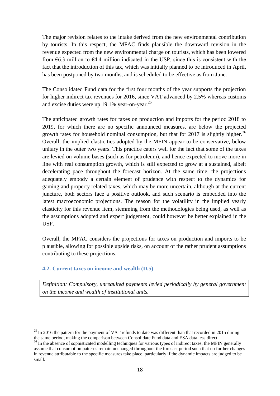The major revision relates to the intake derived from the new environmental contribution by tourists. In this respect, the MFAC finds plausible the downward revision in the revenue expected from the new environmental charge on tourists, which has been lowered from  $\epsilon$ 6.3 million to  $\epsilon$ 4.4 million indicated in the USP, since this is consistent with the fact that the introduction of this tax, which was initially planned to be introduced in April, has been postponed by two months, and is scheduled to be effective as from June.

The Consolidated Fund data for the first four months of the year supports the projection for higher indirect tax revenues for 2016, since VAT advanced by 2.5% whereas customs and excise duties were up 19.1% year-on-year.<sup>25</sup>

The anticipated growth rates for taxes on production and imports for the period 2018 to 2019, for which there are no specific announced measures, are below the projected growth rates for household nominal consumption, but that for 2017 is slightly higher.<sup>26</sup> Overall, the implied elasticities adopted by the MFIN appear to be conservative, below unitary in the outer two years. This practice caters well for the fact that some of the taxes are levied on volume bases (such as for petroleum), and hence expected to move more in line with real consumption growth, which is still expected to grow at a sustained, albeit decelerating pace throughout the forecast horizon. At the same time, the projections adequately embody a certain element of prudence with respect to the dynamics for gaming and property related taxes, which may be more uncertain, although at the current juncture, both sectors face a positive outlook, and such scenario is embedded into the latest macroeconomic projections. The reason for the volatility in the implied yearly elasticity for this revenue item, stemming from the methodologies being used, as well as the assumptions adopted and expert judgement, could however be better explained in the USP.

Overall, the MFAC considers the projections for taxes on production and imports to be plausible, allowing for possible upside risks, on account of the rather prudent assumptions contributing to these projections.

## **4.2. Current taxes on income and wealth (D.5)**

1

*Definition: Compulsory, unrequited payments levied periodically by general government on the income and wealth of institutional units.*

 $^{25}$  In 2016 the pattern for the payment of VAT refunds to date was different than that recorded in 2015 during the same period, making the comparison between Consolidate Fund data and ESA data less direct.

<sup>&</sup>lt;sup>26</sup> In the absence of sophisticated modelling techniques for various types of indirect taxes, the MFIN generally assume that consumption patterns remain unchanged throughout the forecast period such that no further changes in revenue attributable to the specific measures take place, particularly if the dynamic impacts are judged to be small.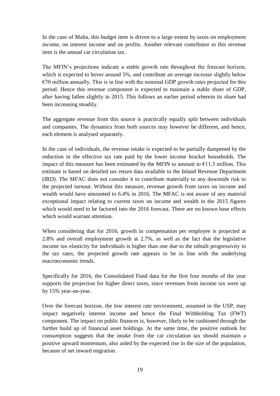In the case of Malta, this budget item is driven to a large extent by taxes on employment income, on interest income and on profits. Another relevant contributor to this revenue item is the annual car circulation tax.

The MFIN's projections indicate a stable growth rate throughout the forecast horizon, which is expected to hover around 5%, and contribute an average increase slightly below  $\epsilon$ 70 million annually. This is in line with the nominal GDP growth rates projected for this period. Hence this revenue component is expected to maintain a stable share of GDP, after having fallen slightly in 2015. This follows an earlier period wherein its share had been increasing steadily.

The aggregate revenue from this source is practically equally split between individuals and companies. The dynamics from both sources may however be different, and hence, each element is analysed separately.

In the case of individuals, the revenue intake is expected to be partially dampened by the reduction in the effective tax rate paid by the lower income bracket households. The impact of this measure has been estimated by the MFIN to amount to  $\epsilon$ 11.3 million. This estimate is based on detailed tax return data available to the Inland Revenue Department (IRD). The MFAC does not consider it to contribute materially to any downside risk to the projected turnout. Without this measure, revenue growth from taxes on income and wealth would have amounted to 6.4% in 2016. The MFAC is not aware of any material exceptional impact relating to current taxes on income and wealth in the 2015 figures which would need to be factored into the 2016 forecast. There are no known base effects which would warrant attention.

When considering that for 2016, growth in compensation per employee is projected at 2.8% and overall employment growth at 2.7%, as well as the fact that the legislative income tax elasticity for individuals is higher than one due to the inbuilt progressivity in the tax rates, the projected growth rate appears to be in line with the underlying macroeconomic trends.

Specifically for 2016, the Consolidated Fund data for the first four months of the year supports the projection for higher direct taxes, since revenues from income tax were up by 15% year-on-year.

Over the forecast horizon, the low interest rate environment, assumed in the USP, may impact negatively interest income and hence the Final Withholding Tax (FWT) component. The impact on public finances is, however, likely to be cushioned through the further build up of financial asset holdings. At the same time, the positive outlook for consumption suggests that the intake from the car circulation tax should maintain a positive upward momentum, also aided by the expected rise in the size of the population, because of net inward migration.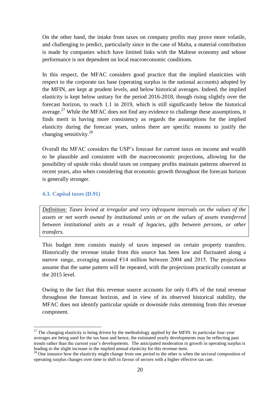On the other hand, the intake from taxes on company profits may prove more volatile, and challenging to predict, particularly since in the case of Malta, a material contribution is made by companies which have limited links with the Maltese economy and whose performance is not dependent on local macroeconomic conditions.

In this respect, the MFAC considers good practice that the implied elasticities with respect to the corporate tax base (operating surplus in the national accounts) adopted by the MFIN, are kept at prudent levels, and below historical averages. Indeed, the implied elasticity is kept below unitary for the period 2016-2018, though rising slightly over the forecast horizon, to reach 1.1 in 2019, which is still significantly below the historical average. $27$  While the MFAC does not find any evidence to challenge these assumptions, it finds merit in having more consistency as regards the assumptions for the implied elasticity during the forecast years, unless there are specific reasons to justify the changing sensitivity. $28$ 

Overall the MFAC considers the USP's forecast for current taxes on income and wealth to be plausible and consistent with the macroeconomic projections, allowing for the possibility of upside risks should taxes on company profits maintain patterns observed in recent years, also when considering that economic growth throughout the forecast horizon is generally stronger.

## **4.3. Capital taxes (D.91)**

*Definition: Taxes levied at irregular and very infrequent intervals on the values of the assets or net worth owned by institutional units or on the values of assets transferred between institutional units as a result of legacies, gifts between persons, or other transfers.*

This budget item consists mainly of taxes imposed on certain property transfers. Historically the revenue intake from this source has been low and fluctuated along a narrow range, averaging around  $E14$  million between 2004 and 2015. The projections assume that the same pattern will be repeated, with the projections practically constant at the 2015 level.

Owing to the fact that this revenue source accounts for only 0.4% of the total revenue throughout the forecast horizon, and in view of its observed historical stability, the MFAC does not identify particular upside or downside risks stemming from this revenue component.

<sup>1</sup>  $27$  The changing elasticity is being driven by the methodology applied by the MFIN. In particular four-year averages are being used for the tax base and hence, the estimated yearly developments may be reflecting past trends rather than the current year's developments. The anticipated moderation in growth in operating surplus is leading to the slight increase in the implied annual elasticity for this revenue item.

<sup>&</sup>lt;sup>28</sup> One instance how the elasticity might change from one period to the other is when the sectoral composition of operating surplus changes over time to shift in favour of sectors with a higher effective tax rate.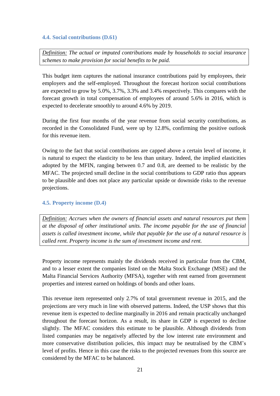## **4.4. Social contributions (D.61)**

*Definition: The actual or imputed contributions made by households to social insurance schemes to make provision for social benefits to be paid.*

This budget item captures the national insurance contributions paid by employees, their employers and the self-employed. Throughout the forecast horizon social contributions are expected to grow by 5.0%, 3.7%, 3.3% and 3.4% respectively. This compares with the forecast growth in total compensation of employees of around 5.6% in 2016, which is expected to decelerate smoothly to around 4.6% by 2019.

During the first four months of the year revenue from social security contributions, as recorded in the Consolidated Fund, were up by 12.8%, confirming the positive outlook for this revenue item.

Owing to the fact that social contributions are capped above a certain level of income, it is natural to expect the elasticity to be less than unitary. Indeed, the implied elasticities adopted by the MFIN, ranging between 0.7 and 0.8, are deemed to be realistic by the MFAC. The projected small decline in the social contributions to GDP ratio thus appears to be plausible and does not place any particular upside or downside risks to the revenue projections.

## **4.5. Property income (D.4)**

*Definition: Accrues when the owners of financial assets and natural resources put them at the disposal of other institutional units. The income payable for the use of financial assets is called investment income, while that payable for the use of a natural resource is called rent. Property income is the sum of investment income and rent.*

Property income represents mainly the dividends received in particular from the CBM, and to a lesser extent the companies listed on the Malta Stock Exchange (MSE) and the Malta Financial Services Authority (MFSA), together with rent earned from government properties and interest earned on holdings of bonds and other loans.

This revenue item represented only 2.7% of total government revenue in 2015, and the projections are very much in line with observed patterns. Indeed, the USP shows that this revenue item is expected to decline marginally in 2016 and remain practically unchanged throughout the forecast horizon. As a result, its share in GDP is expected to decline slightly. The MFAC considers this estimate to be plausible. Although dividends from listed companies may be negatively affected by the low interest rate environment and more conservative distribution policies, this impact may be neutralised by the CBM's level of profits. Hence in this case the risks to the projected revenues from this source are considered by the MFAC to be balanced.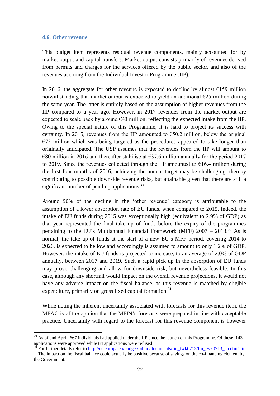#### **4.6. Other revenue**

<u>.</u>

This budget item represents residual revenue components, mainly accounted for by market output and capital transfers. Market output consists primarily of revenues derived from permits and charges for the services offered by the public sector, and also of the revenues accruing from the Individual Investor Programme (IIP).

In 2016, the aggregate for other revenue is expected to decline by almost  $E$ 159 million notwithstanding that market output is expected to yield an additional  $\epsilon$ 25 million during the same year. The latter is entirely based on the assumption of higher revenues from the IIP compared to a year ago. However, in 2017 revenues from the market output are expected to scale back by around  $643$  million, reflecting the expected intake from the IIP. Owing to the special nature of this Programme, it is hard to project its success with certainty. In 2015, revenues from the IIP amounted to  $\epsilon$ 50.2 million, below the original  $E$ 5 million which was being targeted as the procedures appeared to take longer than originally anticipated. The USP assumes that the revenues from the IIP will amount to  $\epsilon$ 80 million in 2016 and thereafter stabilise at  $\epsilon$ 37.6 million annually for the period 2017 to 2019. Since the revenues collected through the IIP amounted to  $\epsilon$ 16.4 million during the first four months of 2016, achieving the annual target may be challenging, thereby contributing to possible downside revenue risks, but attainable given that there are still a significant number of pending applications. $^{29}$ 

Around 90% of the decline in the 'other revenue' category is attributable to the assumption of a lower absorption rate of EU funds, when compared to 2015. Indeed, the intake of EU funds during 2015 was exceptionally high (equivalent to 2.9% of GDP) as that year represented the final take up of funds before the expiry of the programmes pertaining to the EU's Multiannual Financial Framework (MFF)  $2007 - 2013$ .<sup>30</sup> As is normal, the take up of funds at the start of a new EU's MFF period, covering 2014 to 2020, is expected to be low and accordingly is assumed to amount to only 1.2% of GDP. However, the intake of EU funds is projected to increase, to an average of 2.0% of GDP annually, between 2017 and 2019. Such a rapid pick up in the absorption of EU funds may prove challenging and allow for downside risk, but nevertheless feasible. In this case, although any shortfall would impact on the overall revenue projections, it would not have any adverse impact on the fiscal balance, as this revenue is matched by eligible expenditure, primarily on gross fixed capital formation.<sup>31</sup>

While noting the inherent uncertainty associated with forecasts for this revenue item, the MFAC is of the opinion that the MFIN's forecasts were prepared in line with acceptable practice. Uncertainty with regard to the forecast for this revenue component is however

<sup>&</sup>lt;sup>29</sup> As of end April, 667 individuals had applied under the IIP since the launch of this Programme. Of these, 143 applications were approved while 84 applications were refused.

<sup>&</sup>lt;sup>1</sup><br>30 For further details refer to [http://ec.europa.eu/budget/biblio/documents/fin\\_fwk0713/fin\\_fwk0713\\_en.cfm#aii](http://ec.europa.eu/budget/biblio/documents/fin_fwk0713/fin_fwk0713_en.cfm#aii)

<sup>&</sup>lt;sup>31</sup> The impact on the fiscal balance could actually be positive because of savings on the co-financing element by the Government.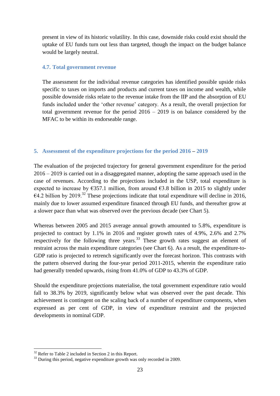present in view of its historic volatility. In this case, downside risks could exist should the uptake of EU funds turn out less than targeted, though the impact on the budget balance would be largely neutral.

#### **4.7. Total government revenue**

The assessment for the individual revenue categories has identified possible upside risks specific to taxes on imports and products and current taxes on income and wealth, while possible downside risks relate to the revenue intake from the IIP and the absorption of EU funds included under the 'other revenue' category. As a result, the overall projection for total government revenue for the period  $2016 - 2019$  is on balance considered by the MFAC to be within its endorseable range.

## **5. Assessment of the expenditure projections for the period 2016 – 2019**

The evaluation of the projected trajectory for general government expenditure for the period 2016 – 2019 is carried out in a disaggregated manner, adopting the same approach used in the case of revenues. According to the projections included in the USP, total expenditure is expected to increase by  $\epsilon$ 357.1 million, from around  $\epsilon$ 3.8 billion in 2015 to slightly under  $\epsilon$ 4.2 billion by 2019.<sup>32</sup> These projections indicate that total expenditure will decline in 2016, mainly due to lower assumed expenditure financed through EU funds, and thereafter grow at a slower pace than what was observed over the previous decade (see Chart 5).

Whereas between 2005 and 2015 average annual growth amounted to 5.8%, expenditure is projected to contract by 1.1% in 2016 and register growth rates of 4.9%, 2.6% and 2.7% respectively for the following three years.<sup>33</sup> These growth rates suggest an element of restraint across the main expenditure categories (see Chart 6). As a result, the expenditure-to-GDP ratio is projected to retrench significantly over the forecast horizon. This contrasts with the pattern observed during the four-year period 2011-2015, wherein the expenditure ratio had generally trended upwards, rising from 41.0% of GDP to 43.3% of GDP.

Should the expenditure projections materialise, the total government expenditure ratio would fall to 38.3% by 2019, significantly below what was observed over the past decade. This achievement is contingent on the scaling back of a number of expenditure components, when expressed as per cent of GDP, in view of expenditure restraint and the projected developments in nominal GDP.

<sup>1</sup>  $32$  Refer to Table 2 included in Section 2 in this Report.

<sup>&</sup>lt;sup>33</sup> During this period, negative expenditure growth was only recorded in 2009.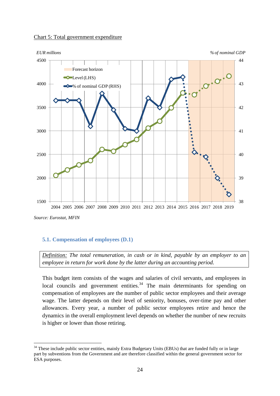



*Source: Eurostat, MFIN*

<u>.</u>

#### **5.1. Compensation of employees (D.1)**

*Definition: The total remuneration, in cash or in kind, payable by an employer to an employee in return for work done by the latter during an accounting period.*

This budget item consists of the wages and salaries of civil servants, and employees in local councils and government entities.<sup>34</sup> The main determinants for spending on compensation of employees are the number of public sector employees and their average wage. The latter depends on their level of seniority, bonuses, over-time pay and other allowances. Every year, a number of public sector employees retire and hence the dynamics in the overall employment level depends on whether the number of new recruits is higher or lower than those retiring.

<sup>&</sup>lt;sup>34</sup> These include public sector entities, mainly Extra Budgetary Units (EBUs) that are funded fully or in large part by subventions from the Government and are therefore classified within the general government sector for ESA purposes.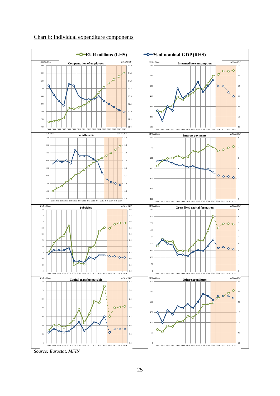

## Chart 6: Individual expenditure components

*Source: Eurostat, MFIN*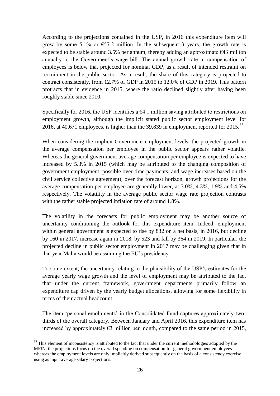According to the projections contained in the USP, in 2016 this expenditure item will grow by some 5.1% or  $\epsilon$ 57.2 million. In the subsequent 3 years, the growth rate is expected to be stable around 3.5% per annum, thereby adding an approximate  $\epsilon$ 43 million annually to the Government's wage bill. The annual growth rate in compensation of employees is below that projected for nominal GDP, as a result of intended restraint on recruitment in the public sector. As a result, the share of this category is projected to contract consistently, from 12.7% of GDP in 2015 to 12.0% of GDP in 2019. This pattern protracts that in evidence in 2015, where the ratio declined slightly after having been roughly stable since 2010.

Specifically for 2016, the USP identifies a  $64.1$  million saying attributed to restrictions on employment growth, although the implicit stated public sector employment level for 2016, at 40,671 employees, is higher than the 39,839 in employment reported for  $2015$ .<sup>35</sup>

When considering the implicit Government employment levels, the projected growth in the average compensation per employee in the public sector appears rather volatile. Whereas the general government average compensation per employee is expected to have increased by 5.3% in 2015 (which may be attributed to the changing composition of government employment, possible over-time payments, and wage increases based on the civil service collective agreement), over the forecast horizon, growth projections for the average compensation per employee are generally lower, at 3.0%, 4.3%, 1.9% and 4.5% respectively. The volatility in the average public sector wage rate projection contrasts with the rather stable projected inflation rate of around 1.8%.

The volatility in the forecasts for public employment may be another source of uncertainty conditioning the outlook for this expenditure item. Indeed, employment within general government is expected to rise by 832 on a net basis, in 2016, but decline by 160 in 2017, increase again in 2018, by 523 and fall by 364 in 2019. In particular, the projected decline in public sector employment in 2017 may be challenging given that in that year Malta would be assuming the EU's presidency.

To some extent, the uncertainty relating to the plausibility of the USP's estimates for the average yearly wage growth and the level of employment may be attributed to the fact that under the current framework, government departments primarily follow an expenditure cap driven by the yearly budget allocations, allowing for some flexibility in terms of their actual headcount.

The item 'personal emoluments' in the Consolidated Fund captures approximately twothirds of the overall category. Between January and April 2016, this expenditure item has increased by approximately  $\epsilon$ 3 million per month, compared to the same period in 2015,

<sup>&</sup>lt;sup>35</sup> This element of inconsistency is attributed to the fact that under the current methodologies adopted by the MFIN, the projections focus on the overall spending on compensation for general government employees whereas the employment levels are only implicitly derived subsequently on the basis of a consistency exercise using as input average salary projections.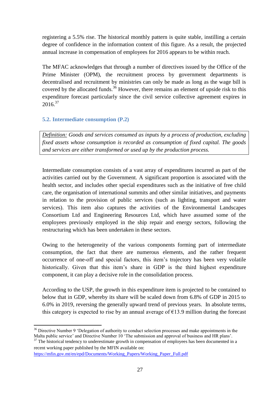registering a 5.5% rise. The historical monthly pattern is quite stable, instilling a certain degree of confidence in the information content of this figure. As a result, the projected annual increase in compensation of employees for 2016 appears to be within reach.

The MFAC acknowledges that through a number of directives issued by the Office of the Prime Minister (OPM), the recruitment process by government departments is decentralised and recruitment by ministries can only be made as long as the wage bill is covered by the allocated funds.<sup>36</sup> However, there remains an element of upside risk to this expenditure forecast particularly since the civil service collective agreement expires in  $2016^{37}$ 

## **5.2. Intermediate consumption (P.2)**

*Definition: Goods and services consumed as inputs by a process of production, excluding fixed assets whose consumption is recorded as consumption of fixed capital. The goods and services are either transformed or used up by the production process.*

Intermediate consumption consists of a vast array of expenditures incurred as part of the activities carried out by the Government. A significant proportion is associated with the health sector, and includes other special expenditures such as the initiative of free child care, the organisation of international summits and other similar initiatives, and payments in relation to the provision of public services (such as lighting, transport and water services). This item also captures the activities of the Environmental Landscapes Consortium Ltd and Engineering Resources Ltd, which have assumed some of the employees previously employed in the ship repair and energy sectors, following the restructuring which has been undertaken in these sectors.

Owing to the heterogeneity of the various components forming part of intermediate consumption, the fact that there are numerous elements, and the rather frequent occurrence of one-off and special factors, this item's trajectory has been very volatile historically. Given that this item's share in GDP is the third highest expenditure component, it can play a decisive role in the consolidation process.

According to the USP, the growth in this expenditure item is projected to be contained to below that in GDP, whereby its share will be scaled down from 6.8% of GDP in 2015 to 6.0% in 2019, reversing the generally upward trend of previous years. In absolute terms, this category is expected to rise by an annual average of  $\epsilon$ 13.9 million during the forecast

<sup>&</sup>lt;sup>36</sup> Directive Number 9 'Delegation of authority to conduct selection processes and make appointments in the Malta public service' and Directive Number 10 'The submission and approval of business and HR plans'.

<sup>&</sup>lt;sup>37</sup> The historical tendency to underestimate growth in compensation of employees has been documented in a recent working paper published by the MFIN available on:

[https://mfin.gov.mt/en/epd/Documents/Working\\_Papers/Working\\_Paper\\_Full.pdf](https://mfin.gov.mt/en/epd/Documents/Working_Papers/Working_Paper_Full.pdf)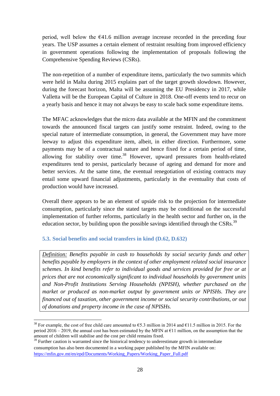period, well below the  $E$ 41.6 million average increase recorded in the preceding four years. The USP assumes a certain element of restraint resulting from improved efficiency in government operations following the implementation of proposals following the Comprehensive Spending Reviews (CSRs).

The non-repetition of a number of expenditure items, particularly the two summits which were held in Malta during 2015 explains part of the target growth slowdown. However, during the forecast horizon, Malta will be assuming the EU Presidency in 2017, while Valletta will be the European Capital of Culture in 2018. One-off events tend to recur on a yearly basis and hence it may not always be easy to scale back some expenditure items.

The MFAC acknowledges that the micro data available at the MFIN and the commitment towards the announced fiscal targets can justify some restraint. Indeed, owing to the special nature of intermediate consumption, in general, the Government may have more leeway to adjust this expenditure item, albeit, in either direction. Furthermore, some payments may be of a contractual nature and hence fixed for a certain period of time, allowing for stability over time.<sup>38</sup> However, upward pressures from health-related expenditures tend to persist, particularly because of ageing and demand for more and better services. At the same time, the eventual renegotiation of existing contracts may entail some upward financial adjustments, particularly in the eventuality that costs of production would have increased.

Overall there appears to be an element of upside risk to the projection for intermediate consumption, particularly since the stated targets may be conditional on the successful implementation of further reforms, particularly in the health sector and further on, in the education sector, by building upon the possible savings identified through the CSRs.<sup>39</sup>

## **5.3. Social benefits and social transfers in kind (D.62, D.632)**

1

*Definition: Benefits payable in cash to households by social security funds and other benefits payable by employers in the context of other employment related social insurance schemes. In kind benefits refer to individual goods and services provided for free or at prices that are not economically significant to individual households by government units and Non-Profit Institutions Serving Households (NPISH), whether purchased on the market or produced as non-market output by government units or NPISHs. They are financed out of taxation, other government income or social security contributions, or out of donations and property income in the case of NPISHs.*

<sup>&</sup>lt;sup>38</sup> For example, the cost of free child care amounted to  $65.3$  million in 2014 and  $61.5$  million in 2015. For the period 2016 – 2019, the annual cost has been estimated by the MFIN at  $\epsilon$ 11 million, on the assumption that the amount of children will stabilise and the cost per child remains fixed.

 $39$  Further caution is warranted since the historical tendency to underestimate growth in intermediate consumption has also been documented in a working paper published by the MFIN available on: [https://mfin.gov.mt/en/epd/Documents/Working\\_Papers/Working\\_Paper\\_Full.pdf](https://mfin.gov.mt/en/epd/Documents/Working_Papers/Working_Paper_Full.pdf)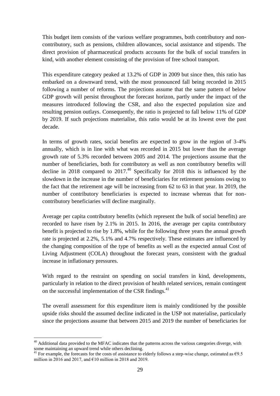This budget item consists of the various welfare programmes, both contributory and noncontributory, such as pensions, children allowances, social assistance and stipends. The direct provision of pharmaceutical products accounts for the bulk of social transfers in kind, with another element consisting of the provision of free school transport.

This expenditure category peaked at 13.2% of GDP in 2009 but since then, this ratio has embarked on a downward trend, with the most pronounced fall being recorded in 2015 following a number of reforms. The projections assume that the same pattern of below GDP growth will persist throughout the forecast horizon, partly under the impact of the measures introduced following the CSR, and also the expected population size and resulting pension outlays. Consequently, the ratio is projected to fall below 11% of GDP by 2019. If such projections materialise, this ratio would be at its lowest over the past decade.

In terms of growth rates, social benefits are expected to grow in the region of 3-4% annually, which is in line with what was recorded in 2015 but lower than the average growth rate of 5.3% recorded between 2005 and 2014. The projections assume that the number of beneficiaries, both for contributory as well as non contributory benefits will decline in 2018 compared to  $2017<sup>40</sup>$  Specifically for 2018 this is influenced by the slowdown in the increase in the number of beneficiaries for retirement pensions owing to the fact that the retirement age will be increasing from 62 to 63 in that year. In 2019, the number of contributory beneficiaries is expected to increase whereas that for noncontributory beneficiaries will decline marginally.

Average per capita contributory benefits (which represent the bulk of social benefits) are recorded to have risen by 2.1% in 2015. In 2016, the average per capita contributory benefit is projected to rise by 1.8%, while for the following three years the annual growth rate is projected at 2.2%, 5.1% and 4.7% respectively. These estimates are influenced by the changing composition of the type of benefits as well as the expected annual Cost of Living Adjustment (COLA) throughout the forecast years, consistent with the gradual increase in inflationary pressures.

With regard to the restraint on spending on social transfers in kind, developments, particularly in relation to the direct provision of health related services, remain contingent on the successful implementation of the CSR findings.<sup>41</sup>

The overall assessment for this expenditure item is mainly conditioned by the possible upside risks should the assumed decline indicated in the USP not materialise, particularly since the projections assume that between 2015 and 2019 the number of beneficiaries for

 $40$  Additional data provided to the MFAC indicates that the patterns across the various categories diverge, with some maintaining an upward trend while others declining.

<sup>&</sup>lt;sup>41</sup> For example, the forecasts for the costs of assistance to elderly follows a step-wise change, estimated as  $\epsilon$ 9.5 million in 2016 and 2017, and  $\epsilon$ 10 million in 2018 and 2019.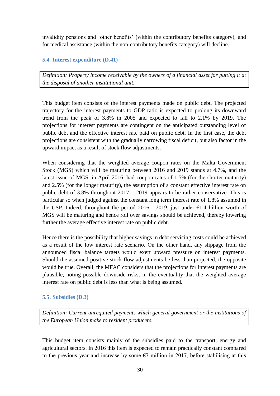invalidity pensions and 'other benefits' (within the contributory benefits category), and for medical assistance (within the non-contributory benefits category) will decline.

## **5.4. Interest expenditure (D.41)**

*Definition: Property income receivable by the owners of a financial asset for putting it at the disposal of another institutional unit.* 

This budget item consists of the interest payments made on public debt. The projected trajectory for the interest payments to GDP ratio is expected to prolong its downward trend from the peak of 3.8% in 2005 and expected to fall to 2.1% by 2019. The projections for interest payments are contingent on the anticipated outstanding level of public debt and the effective interest rate paid on public debt. In the first case, the debt projections are consistent with the gradually narrowing fiscal deficit, but also factor in the upward impact as a result of stock flow adjustments.

When considering that the weighted average coupon rates on the Malta Government Stock (MGS) which will be maturing between 2016 and 2019 stands at 4.7%, and the latest issue of MGS, in April 2016, had coupon rates of 1.5% (for the shorter maturity) and 2.5% (for the longer maturity), the assumption of a constant effective interest rate on public debt of 3.8% throughout  $2017 - 2019$  appears to be rather conservative. This is particular so when judged against the constant long term interest rate of 1.8% assumed in the USP. Indeed, throughout the period 2016 - 2019, just under  $\epsilon$ 1.4 billion worth of MGS will be maturing and hence roll over savings should be achieved, thereby lowering further the average effective interest rate on public debt.

Hence there is the possibility that higher savings in debt servicing costs could be achieved as a result of the low interest rate scenario. On the other hand, any slippage from the announced fiscal balance targets would exert upward pressure on interest payments. Should the assumed positive stock flow adjustments be less than projected, the opposite would be true. Overall, the MFAC considers that the projections for interest payments are plausible, noting possible downside risks, in the eventuality that the weighted average interest rate on public debt is less than what is being assumed.

## **5.5. Subsidies (D.3)**

*Definition: Current unrequited payments which general government or the institutions of the European Union make to resident producers.*

This budget item consists mainly of the subsidies paid to the transport, energy and agricultural sectors. In 2016 this item is expected to remain practically constant compared to the previous year and increase by some  $\epsilon$ 7 million in 2017, before stabilising at this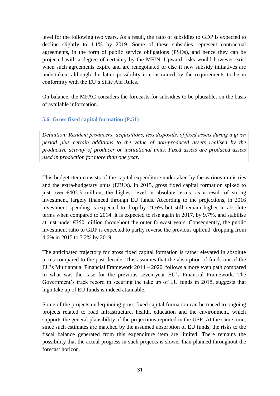level for the following two years. As a result, the ratio of subsidies to GDP is expected to decline slightly to 1.1% by 2019. Some of these subsidies represent contractual agreements, in the form of public service obligations (PSOs), and hence they can be projected with a degree of certainty by the MFIN. Upward risks would however exist when such agreements expire and are renegotiated or else if new subsidy initiatives are undertaken, although the latter possibility is constrained by the requirements to be in conformity with the EU's State Aid Rules.

On balance, the MFAC considers the forecasts for subsidies to be plausible, on the basis of available information.

## **5.6. Gross fixed capital formation (P.51)**

*Definition: Resident producers' acquisitions, less disposals, of fixed assets during a given period plus certain additions to the value of non-produced assets realised by the productive activity of producer or institutional units. Fixed assets are produced assets used in production for more than one year.*

This budget item consists of the capital expenditure undertaken by the various ministries and the extra-budgetary units (EBUs). In 2015, gross fixed capital formation spiked to just over  $\epsilon$ 402.3 million, the highest level in absolute terms, as a result of strong investment, largely financed through EU funds. According to the projections, in 2016 investment spending is expected to drop by 21.6% but still remain higher in absolute terms when compared to 2014. It is expected to rise again in 2017, by 9.7%, and stabilise at just under  $E$ 350 million throughout the outer forecast years. Consequently, the public investment ratio to GDP is expected to partly reverse the previous uptrend, dropping from 4.6% in 2015 to 3.2% by 2019.

The anticipated trajectory for gross fixed capital formation is rather elevated in absolute terms compared to the past decade. This assumes that the absorption of funds out of the EU's Multiannual Financial Framework 2014 – 2020, follows a more even path compared to what was the case for the previous seven-year EU's Financial Framework. The Government's track record in securing the take up of EU funds in 2015, suggests that high take up of EU funds is indeed attainable.

Some of the projects underpinning gross fixed capital formation can be traced to ongoing projects related to road infrastructure, health, education and the environment, which supports the general plausibility of the projections reported in the USP. At the same time, since such estimates are matched by the assumed absorption of EU funds, the risks to the fiscal balance generated from this expenditure item are limited. There remains the possibility that the actual progress in such projects is slower than planned throughout the forecast horizon.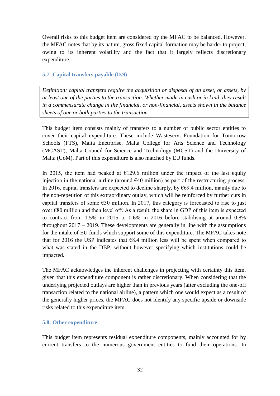Overall risks to this budget item are considered by the MFAC to be balanced. However, the MFAC notes that by its nature, gross fixed capital formation may be harder to project, owing to its inherent volatility and the fact that it largely reflects discretionary expenditure.

#### **5.7. Capital transfers payable (D.9)**

*Definition: capital transfers require the acquisition or disposal of an asset, or assets, by at least one of the parties to the transaction. Whether made in cash or in kind, they result in a commensurate change in the financial, or non-financial, assets shown in the balance sheets of one or both parties to the transaction.*

This budget item consists mainly of transfers to a number of public sector entities to cover their capital expenditure. These include Wasteserv, Foundation for Tomorrow Schools (FTS), Malta Enetrprise, Malta College for Arts Science and Technology (MCAST), Malta Council for Science and Technology (MCST) and the University of Malta (UoM). Part of this expenditure is also matched by EU funds.

In 2015, the item had peaked at  $\epsilon$ 129.6 million under the impact of the last equity injection in the national airline (around  $\epsilon$ 40 million) as part of the restructuring process. In 2016, capital transfers are expected to decline sharply, by  $\epsilon$ 69.4 million, mainly due to the non-repetition of this extraordinary outlay, which will be reinforced by further cuts in capital transfers of some  $\epsilon$ 30 million. In 2017, this category is forecasted to rise to just over €80 million and then level off. As a result, the share in GDP of this item is expected to contract from 1.5% in 2015 to 0.6% in 2016 before stabilising at around 0.8% throughout  $2017 - 2019$ . These developments are generally in line with the assumptions for the intake of EU funds which support some of this expenditure. The MFAC takes note that for 2016 the USP indicates that  $68.4$  million less will be spent when compared to what was stated in the DBP, without however specifying which institutions could be impacted.

The MFAC acknowledges the inherent challenges in projecting with certainty this item, given that this expenditure component is rather discretionary. When considering that the underlying projected outlays are higher than in previous years (after excluding the one-off transaction related to the national airline), a pattern which one would expect as a result of the generally higher prices, the MFAC does not identify any specific upside or downside risks related to this expenditure item.

## **5.8. Other expenditure**

This budget item represents residual expenditure components, mainly accounted for by current transfers to the numerous government entities to fund their operations. In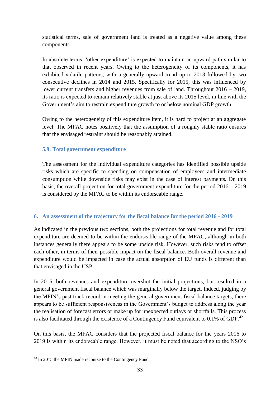statistical terms, sale of government land is treated as a negative value among these components.

In absolute terms, 'other expenditure' is expected to maintain an upward path similar to that observed in recent years. Owing to the heterogeneity of its components, it has exhibited volatile patterns, with a generally upward trend up to 2013 followed by two consecutive declines in 2014 and 2015. Specifically for 2015, this was influenced by lower current transfers and higher revenues from sale of land. Throughout 2016 – 2019, its ratio is expected to remain relatively stable at just above its 2015 level, in line with the Government's aim to restrain expenditure growth to or below nominal GDP growth.

Owing to the heterogeneity of this expenditure item, it is hard to project at an aggregate level. The MFAC notes positively that the assumption of a roughly stable ratio ensures that the envisaged restraint should be reasonably attained.

## **5.9. Total government expenditure**

The assessment for the individual expenditure categories has identified possible upside risks which are specific to spending on compensation of employees and intermediate consumption while downside risks may exist in the case of interest payments. On this basis, the overall projection for total government expenditure for the period 2016 – 2019 is considered by the MFAC to be within its endorseable range.

## **6. An assessment of the trajectory for the fiscal balance for the period 2016 - 2019**

As indicated in the previous two sections, both the projections for total revenue and for total expenditure are deemed to be within the endorseable range of the MFAC, although in both instances generally there appears to be some upside risk. However, such risks tend to offset each other, in terms of their possible impact on the fiscal balance. Both overall revenue and expenditure would be impacted in case the actual absorption of EU funds is different than that envisaged in the USP.

In 2015, both revenues and expenditure overshot the initial projections, but resulted in a general government fiscal balance which was marginally below the target. Indeed, judging by the MFIN's past track record in meeting the general government fiscal balance targets, there appears to be sufficient responsiveness in the Government's budget to address along the year the realisation of forecast errors or make up for unexpected outlays or shortfalls. This process is also facilitated through the existence of a Contingency Fund equivalent to 0.1% of GDP.<sup>42</sup>

On this basis, the MFAC considers that the projected fiscal balance for the years 2016 to 2019 is within its endorseable range. However, it must be noted that according to the NSO's

<sup>1</sup>  $42$  In 2015 the MFIN made recourse to the Contingency Fund.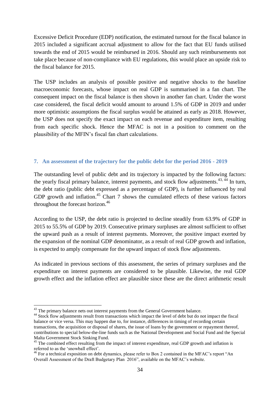Excessive Deficit Procedure (EDP) notification, the estimated turnout for the fiscal balance in 2015 included a significant accrual adjustment to allow for the fact that EU funds utilised towards the end of 2015 would be reimbursed in 2016. Should any such reimbursements not take place because of non-compliance with EU regulations, this would place an upside risk to the fiscal balance for 2015.

The USP includes an analysis of possible positive and negative shocks to the baseline macroeconomic forecasts, whose impact on real GDP is summarised in a fan chart. The consequent impact on the fiscal balance is then shown in another fan chart. Under the worst case considered, the fiscal deficit would amount to around 1.5% of GDP in 2019 and under more optimistic assumptions the fiscal surplus would be attained as early as 2018. However, the USP does not specify the exact impact on each revenue and expenditure item, resulting from each specific shock. Hence the MFAC is not in a position to comment on the plausibility of the MFIN's fiscal fan chart calculations.

#### **7. An assessment of the trajectory for the public debt for the period 2016 - 2019**

The outstanding level of public debt and its trajectory is impacted by the following factors: the yearly fiscal primary balance, interest payments, and stock flow adjustments.<sup>43, 44</sup> In turn, the debt ratio (public debt expressed as a percentage of GDP), is further influenced by real GDP growth and inflation.<sup>45</sup> Chart 7 shows the cumulated effects of these various factors throughout the forecast horizon.<sup>46</sup>

According to the USP, the debt ratio is projected to decline steadily from 63.9% of GDP in 2015 to 55.5% of GDP by 2019. Consecutive primary surpluses are almost sufficient to offset the upward push as a result of interest payments. Moreover, the positive impact exerted by the expansion of the nominal GDP denominator, as a result of real GDP growth and inflation, is expected to amply compensate for the upward impact of stock flow adjustments.

As indicated in previous sections of this assessment, the series of primary surpluses and the expenditure on interest payments are considered to be plausible. Likewise, the real GDP growth effect and the inflation effect are plausible since these are the direct arithmetic result

<sup>&</sup>lt;sup>43</sup> The primary balance nets out interest payments from the General Government balance.

<sup>&</sup>lt;sup>44</sup> Stock flow adjustments result from transactions which impact the level of debt but do not impact the fiscal balance or vice versa. This may happen due to, for instance, differences in timing of recording certain transactions, the acquisition or disposal of shares, the issue of loans by the government or repayment thereof, contributions to special below-the-line funds such as the National Development and Social Fund and the Special Malta Government Stock Sinking Fund.

<sup>&</sup>lt;sup>45</sup> The combined effect resulting from the impact of interest expenditure, real GDP growth and inflation is referred to as the 'snowball effect'.

<sup>&</sup>lt;sup>46</sup> For a technical exposition on debt dynamics, please refer to Box 2 contained in the MFAC's report "An Overall Assessment of the Draft Budgetary Plan 2016", available on the MFAC's website.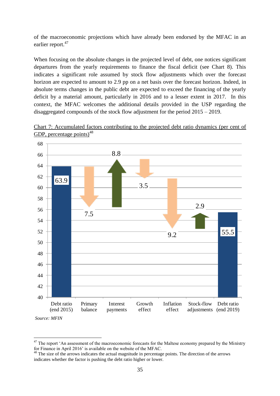of the macroeconomic projections which have already been endorsed by the MFAC in an earlier report.<sup>47</sup>

When focusing on the absolute changes in the projected level of debt, one notices significant departures from the yearly requirements to finance the fiscal deficit (see Chart 8). This indicates a significant role assumed by stock flow adjustments which over the forecast horizon are expected to amount to 2.9 pp on a net basis over the forecast horizon. Indeed, in absolute terms changes in the public debt are expected to exceed the financing of the yearly deficit by a material amount, particularly in 2016 and to a lesser extent in 2017. In this context, the MFAC welcomes the additional details provided in the USP regarding the disaggregated compounds of the stock flow adjustment for the period 2015 – 2019.



Chart 7: Accumulated factors contributing to the projected debt ratio dynamics (per cent of GDP, percentage points $)^{48}$ 

*Source: MFIN*

 $47$  The report 'An assessment of the macroeconomic forecasts for the Maltese economy prepared by the Ministry for Finance in April 2016' is available on the website of the MFAC.

<sup>&</sup>lt;sup>48</sup> The size of the arrows indicates the actual magnitude in percentage points. The direction of the arrows indicates whether the factor is pushing the debt ratio higher or lower.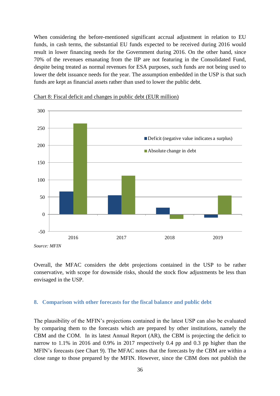When considering the before-mentioned significant accrual adjustment in relation to EU funds, in cash terms, the substantial EU funds expected to be received during 2016 would result in lower financing needs for the Government during 2016. On the other hand, since 70% of the revenues emanating from the IIP are not featuring in the Consolidated Fund, despite being treated as normal revenues for ESA purposes, such funds are not being used to lower the debt issuance needs for the year. The assumption embedded in the USP is that such funds are kept as financial assets rather than used to lower the public debt.





Overall, the MFAC considers the debt projections contained in the USP to be rather conservative, with scope for downside risks, should the stock flow adjustments be less than envisaged in the USP.

#### **8. Comparison with other forecasts for the fiscal balance and public debt**

The plausibility of the MFIN's projections contained in the latest USP can also be evaluated by comparing them to the forecasts which are prepared by other institutions, namely the CBM and the COM. In its latest Annual Report (AR), the CBM is projecting the deficit to narrow to 1.1% in 2016 and 0.9% in 2017 respectively 0.4 pp and 0.3 pp higher than the MFIN's forecasts (see Chart 9). The MFAC notes that the forecasts by the CBM are within a close range to those prepared by the MFIN. However, since the CBM does not publish the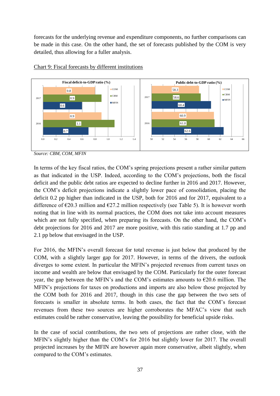forecasts for the underlying revenue and expenditure components, no further comparisons can be made in this case. On the other hand, the set of forecasts published by the COM is very detailed, thus allowing for a fuller analysis.



#### Chart 9: Fiscal forecasts by different institutions

In terms of the key fiscal ratios, the COM's spring projections present a rather similar pattern as that indicated in the USP. Indeed, according to the COM's projections, both the fiscal deficit and the public debt ratios are expected to decline further in 2016 and 2017. However, the COM's deficit projections indicate a slightly lower pace of consolidation, placing the deficit 0.2 pp higher than indicated in the USP, both for 2016 and for 2017, equivalent to a difference of  $\epsilon$ 20.3 million and  $\epsilon$ 27.2 million respectively (see Table 5). It is however worth noting that in line with its normal practices, the COM does not take into account measures which are not fully specified, when preparing its forecasts. On the other hand, the COM's debt projections for 2016 and 2017 are more positive, with this ratio standing at 1.7 pp and 2.1 pp below that envisaged in the USP.

For 2016, the MFIN's overall forecast for total revenue is just below that produced by the COM, with a slightly larger gap for 2017. However, in terms of the drivers, the outlook diverges to some extent. In particular the MFIN's projected revenues from current taxes on income and wealth are below that envisaged by the COM. Particularly for the outer forecast year, the gap between the MFIN's and the COM's estimates amounts to  $\epsilon$ 20.6 million. The MFIN's projections for taxes on productions and imports are also below those projected by the COM both for 2016 and 2017, though in this case the gap between the two sets of forecasts is smaller in absolute terms. In both cases, the fact that the COM's forecast revenues from these two sources are higher corroborates the MFAC's view that such estimates could be rather conservative, leaving the possibility for beneficial upside risks.

In the case of social contributions, the two sets of projections are rather close, with the MFIN's slightly higher than the COM's for 2016 but slightly lower for 2017. The overall projected increases by the MFIN are however again more conservative, albeit slightly, when compared to the COM's estimates.

*Source: CBM, COM, MFIN*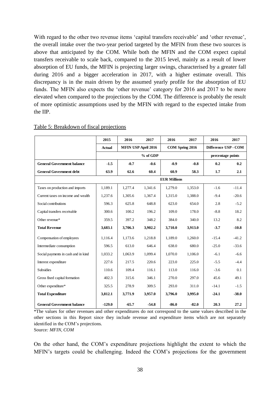With regard to the other two revenue items 'capital transfers receivable' and 'other revenue', the overall intake over the two-year period targeted by the MFIN from these two sources is above that anticipated by the COM. While both the MFIN and the COM expect capital transfers receivable to scale back, compared to the 2015 level, mainly as a result of lower absorption of EU funds, the MFIN is projecting larger swings, characterised by a greater fall during 2016 and a bigger acceleration in 2017, with a higher estimate overall. This discrepancy is in the main driven by the assumed yearly profile for the absorption of EU funds. The MFIN also expects the 'other revenue' category for 2016 and 2017 to be more elevated when compared to the projections by the COM. The difference is probably the result of more optimistic assumptions used by the MFIN with regard to the expected intake from the IIP.

|                                     | 2015          | 2016     | 2017                       | 2016                | 2017              | 2016                 | 2017    |
|-------------------------------------|---------------|----------|----------------------------|---------------------|-------------------|----------------------|---------|
|                                     | <b>Actual</b> |          | <b>MFIN USP April 2016</b> |                     | COM Spring 2016   | Difference USP - COM |         |
|                                     |               | % of GDP |                            |                     | percentage points |                      |         |
| <b>General Government balance</b>   | $-1.5$        | $-0.7$   | $-0.6$                     | $-0.9$              | $-0.8$            | 0.2                  | 0.2     |
| <b>General Government debt</b>      | 63.9          | 62.6     | 60.4                       | 60.9                | 58.3              | 1.7                  | 2.1     |
|                                     |               |          |                            | <b>EUR Millions</b> |                   |                      |         |
| Taxes on production and imports     | 1.189.1       | 1,277.4  | 1.341.6                    | 1,279.0             | 1,353.0           | $-1.6$               | $-11.4$ |
| Current taxes on income and wealth  | 1,237.6       | 1,305.6  | 1,367.4                    | 1,315.0             | 1,388.0           | $-9.4$               | $-20.6$ |
| Social contributions                | 596.3         | 625.8    | 648.8                      | 623.0               | 654.0             | 2.8                  | $-5.2$  |
| Capital transfers receivable        | 300.6         | 100.2    | 196.2                      | 109.0               | 178.0             | $-8.8$               | 18.2    |
| Other revenue*                      | 359.5         | 397.2    | 348.2                      | 384.0               | 340.0             | 13.2                 | 8.2     |
| <b>Total Revenue</b>                | 3,683.1       | 3,706.3  | 3,902.2                    | 3,710.0             | 3,913.0           | $-3.7$               | $-10.8$ |
| Compensation of employees           | 1,116.4       | 1,173.6  | 1,218.8                    | 1,189.0             | 1,260.0           | $-15.4$              | $-41.2$ |
| Intermediate consumption            | 596.5         | 613.0    | 646.4                      | 638.0               | 680.0             | $-25.0$              | $-33.6$ |
| Social payments in cash and in kind | 1,033.2       | 1,063.9  | 1,099.4                    | 1,070.0             | 1,106.0           | $-6.1$               | $-6.6$  |
| Interest expenditure                | 227.6         | 217.5    | 220.6                      | 223.0               | 225.0             | $-5.5$               | $-4.4$  |
| <b>Subsidies</b>                    | 110.6         | 109.4    | 116.1                      | 113.0               | 116.0             | $-3.6$               | 0.1     |
| Gross fixed capital formation       | 402.3         | 315.6    | 346.1                      | 270.0               | 297.0             | 45.6                 | 49.1    |
| Other expenditure*                  | 325.5         | 278.9    | 309.5                      | 293.0               | 311.0             | $-14.1$              | $-1.5$  |
| <b>Total Expenditure</b>            | 3,812.1       | 3,771.9  | 3,957.0                    | 3,796.0             | 3,995.0           | $-24.1$              | $-38.0$ |
| <b>General Government balance</b>   | $-129.0$      | $-65.7$  | $-54.8$                    | $-86.0$             | $-82.0$           | 20.3                 | 27.2    |

#### Table 5: Breakdown of fiscal projections

\*The values for other revenues and other expenditures do not correspond to the same values described in the other sections in this Report since they include revenue and expenditure items which are not separately identified in the COM's projections.

Source*: MFIN, COM*

On the other hand, the COM's expenditure projections highlight the extent to which the MFIN's targets could be challenging. Indeed the COM's projections for the government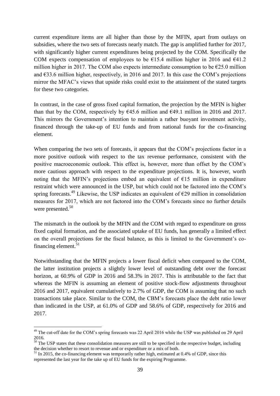current expenditure items are all higher than those by the MFIN, apart from outlays on subsidies, where the two sets of forecasts nearly match. The gap is amplified further for 2017, with significantly higher current expenditures being projected by the COM. Specifically the COM expects compensation of employees to be  $\epsilon$ 15.4 million higher in 2016 and  $\epsilon$ 41.2 million higher in 2017. The COM also expects intermediate consumption to be  $\epsilon$ 25.0 million and  $633.6$  million higher, respectively, in 2016 and 2017. In this case the COM's projections mirror the MFAC's views that upside risks could exist to the attainment of the stated targets for these two categories.

In contrast, in the case of gross fixed capital formation, the projection by the MFIN is higher than that by the COM, respectively by  $645.6$  million and  $649.1$  million in 2016 and 2017. This mirrors the Government's intention to maintain a rather buoyant investment activity, financed through the take-up of EU funds and from national funds for the co-financing element.

When comparing the two sets of forecasts, it appears that the COM's projections factor in a more positive outlook with respect to the tax revenue performance, consistent with the positive macroeconomic outlook. This effect is, however, more than offset by the COM's more cautious approach with respect to the expenditure projections. It is, however, worth noting that the MFIN's projections embed an equivalent of  $E15$  million in expenditure restraint which were announced in the USP, but which could not be factored into the COM's spring forecasts.<sup>49</sup> Likewise, the USP indicates an equivalent of  $\epsilon$ 29 million in consolidation measures for 2017, which are not factored into the COM's forecasts since no further details were presented.<sup>50</sup>

The mismatch in the outlook by the MFIN and the COM with regard to expenditure on gross fixed capital formation, and the associated uptake of EU funds, has generally a limited effect on the overall projections for the fiscal balance, as this is limited to the Government's cofinancing element. $51$ 

Notwithstanding that the MFIN projects a lower fiscal deficit when compared to the COM, the latter institution projects a slightly lower level of outstanding debt over the forecast horizon, at 60.9% of GDP in 2016 and 58.3% in 2017. This is attributable to the fact that whereas the MFIN is assuming an element of positive stock-flow adjustments throughout 2016 and 2017, equivalent cumulatively to 2.7% of GDP, the COM is assuming that no such transactions take place. Similar to the COM, the CBM's forecasts place the debt ratio lower than indicated in the USP, at 61.0% of GDP and 58.6% of GDP, respectively for 2016 and 2017.

<sup>&</sup>lt;sup>49</sup> The cut-off date for the COM's spring forecasts was 22 April 2016 while the USP was published on 29 April 2016.

 $50$  The USP states that these consolidation measures are still to be specified in the respective budget, including the decision whether to resort to revenue and or expenditure or a mix of both.

 $51$  In 2015, the co-financing element was temporarily rather high, estimated at 0.4% of GDP, since this represented the last year for the take up of EU funds for the expiring Programme.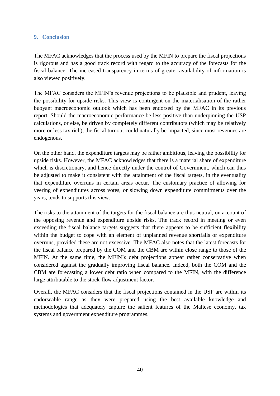#### **9. Conclusion**

The MFAC acknowledges that the process used by the MFIN to prepare the fiscal projections is rigorous and has a good track record with regard to the accuracy of the forecasts for the fiscal balance. The increased transparency in terms of greater availability of information is also viewed positively.

The MFAC considers the MFIN's revenue projections to be plausible and prudent, leaving the possibility for upside risks. This view is contingent on the materialisation of the rather buoyant macroeconomic outlook which has been endorsed by the MFAC in its previous report. Should the macroeconomic performance be less positive than underpinning the USP calculations, or else, be driven by completely different contributors (which may be relatively more or less tax rich), the fiscal turnout could naturally be impacted, since most revenues are endogenous.

On the other hand, the expenditure targets may be rather ambitious, leaving the possibility for upside risks. However, the MFAC acknowledges that there is a material share of expenditure which is discretionary, and hence directly under the control of Government, which can thus be adjusted to make it consistent with the attainment of the fiscal targets, in the eventuality that expenditure overruns in certain areas occur. The customary practice of allowing for veering of expenditures across votes, or slowing down expenditure commitments over the years, tends to supports this view.

The risks to the attainment of the targets for the fiscal balance are thus neutral, on account of the opposing revenue and expenditure upside risks. The track record in meeting or even exceeding the fiscal balance targets suggests that there appears to be sufficient flexibility within the budget to cope with an element of unplanned revenue shortfalls or expenditure overruns, provided these are not excessive. The MFAC also notes that the latest forecasts for the fiscal balance prepared by the COM and the CBM are within close range to those of the MFIN. At the same time, the MFIN's debt projections appear rather conservative when considered against the gradually improving fiscal balance. Indeed, both the COM and the CBM are forecasting a lower debt ratio when compared to the MFIN, with the difference large attributable to the stock-flow adjustment factor.

Overall, the MFAC considers that the fiscal projections contained in the USP are within its endorseable range as they were prepared using the best available knowledge and methodologies that adequately capture the salient features of the Maltese economy, tax systems and government expenditure programmes.